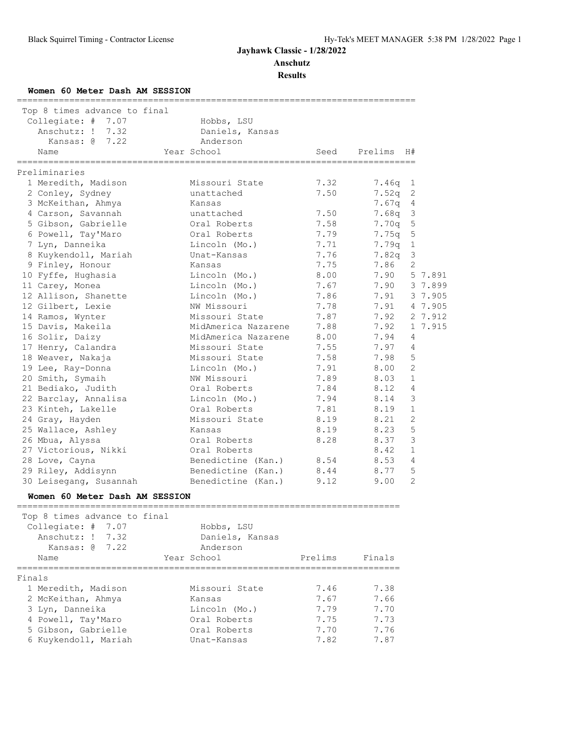**Anschutz**

**Results**

### **Women 60 Meter Dash AM SESSION**

| Top 8 times advance to final      |                               |      |                                |                |         |
|-----------------------------------|-------------------------------|------|--------------------------------|----------------|---------|
| Collegiate: # 7.07                | Hobbs, LSU                    |      |                                |                |         |
| Anschutz: ! 7.32                  | Daniels, Kansas               |      |                                |                |         |
| Kansas: $\theta$ 7.22             | Anderson                      |      |                                |                |         |
| Name                              | Year School                   | Seed | Prelims                        | H#             |         |
| :===============<br>Preliminaries | ----------------------------- |      | ============================== |                |         |
| 1 Meredith, Madison               | Missouri State                | 7.32 | 7.46q                          | 1              |         |
| 2 Conley, Sydney                  | unattached                    | 7.50 | 7.52q                          | 2              |         |
| 3 McKeithan, Ahmya                | Kansas                        |      | 7.67q                          | $\overline{4}$ |         |
| 4 Carson, Savannah                | unattached                    | 7.50 | $7.68q$ 3                      |                |         |
| 5 Gibson, Gabrielle               | Oral Roberts                  | 7.58 | 7.70 <sub>q</sub>              | 5              |         |
| 6 Powell, Tay'Maro                | Oral Roberts                  | 7.79 | 7.75q                          | 5              |         |
| 7 Lyn, Danneika                   | Lincoln (Mo.)                 | 7.71 | 7.79q                          | $\mathbf{1}$   |         |
| 8 Kuykendoll, Mariah              | Unat-Kansas                   | 7.76 | 7.82 <sub>q</sub>              | 3              |         |
| 9 Finley, Honour                  | Kansas                        | 7.75 | 7.86                           | $\overline{2}$ |         |
| 10 Fyffe, Hughasia                | Lincoln (Mo.)                 | 8.00 | 7.90                           |                | 5 7.891 |
| 11 Carey, Monea                   | Lincoln (Mo.)                 | 7.67 | 7.90                           |                | 3 7.899 |
| 12 Allison, Shanette              | Lincoln (Mo.)                 | 7.86 | 7.91                           |                | 3 7.905 |
| 12 Gilbert, Lexie                 | NW Missouri                   | 7.78 | 7.91                           |                | 4 7.905 |
| 14 Ramos, Wynter                  | Missouri State                | 7.87 | 7.92                           |                | 2 7.912 |
| 15 Davis, Makeila                 | MidAmerica Nazarene           | 7.88 | 7.92                           |                | 1 7.915 |
| 16 Solir, Daizy                   | MidAmerica Nazarene           | 8.00 | 7.94                           | 4              |         |
| 17 Henry, Calandra                | Missouri State                | 7.55 | 7.97                           | $\overline{4}$ |         |
| 18 Weaver, Nakaja                 | Missouri State                | 7.58 | 7.98                           | 5              |         |
| 19 Lee, Ray-Donna                 | Lincoln (Mo.)                 | 7.91 | 8.00                           | $\overline{2}$ |         |
| 20 Smith, Symaih                  | NW Missouri                   | 7.89 | 8.03                           | $\mathbf{1}$   |         |
| 21 Bediako, Judith                | Oral Roberts                  | 7.84 | 8.12                           | 4              |         |
| 22 Barclay, Annalisa              | Lincoln (Mo.)                 | 7.94 | 8.14                           | $\mathcal{S}$  |         |
| 23 Kinteh, Lakelle                | Oral Roberts                  | 7.81 | 8.19                           | $\mathbf{1}$   |         |
| 24 Gray, Hayden                   | Missouri State                | 8.19 | 8.21                           | $\overline{2}$ |         |
| 25 Wallace, Ashley                | Kansas                        | 8.19 | 8.23                           | 5              |         |
| 26 Mbua, Alyssa                   | Oral Roberts                  | 8.28 | 8.37                           | 3              |         |
| 27 Victorious, Nikki              | Oral Roberts                  |      | 8.42                           | $\mathbf{1}$   |         |
| 28 Love, Cayna                    | Benedictine (Kan.)            | 8.54 | 8.53                           | 4              |         |
| 29 Riley, Addisynn                | Benedictine (Kan.)            | 8.44 | 8.77                           | 5              |         |
| 30 Leisegang, Susannah            | Benedictine (Kan.)            | 9.12 | 9.00                           | $\overline{2}$ |         |

### **Women 60 Meter Dash AM SESSION**

| Top 8 times advance to final<br>Collegiate: $# 7.07$<br>Anschutz: $1 \quad 7.32$<br>Kansas: $\alpha$ 7.22 | Hobbs, LSU<br>Daniels, Kansas<br>Anderson |         |        |
|-----------------------------------------------------------------------------------------------------------|-------------------------------------------|---------|--------|
| Name                                                                                                      | Year School                               | Prelims | Finals |
| Finals<br>1 Meredith, Madison                                                                             | Missouri State                            | 7.46    | 7.38   |
| 2 McKeithan, Ahmya                                                                                        | Kansas                                    | 7.67    | 7.66   |
| 3 Lyn, Danneika                                                                                           | Lincoln (Mo.)                             | 7.79    | 7.70   |
| 4 Powell, Tay'Maro                                                                                        | Oral Roberts                              | 7.75    | 7.73   |
| 5 Gibson, Gabrielle                                                                                       | Oral Roberts                              | 7.70    | 7.76   |
| 6 Kuykendoll, Mariah                                                                                      | Unat-Kansas                               | 7.82    | 7.87   |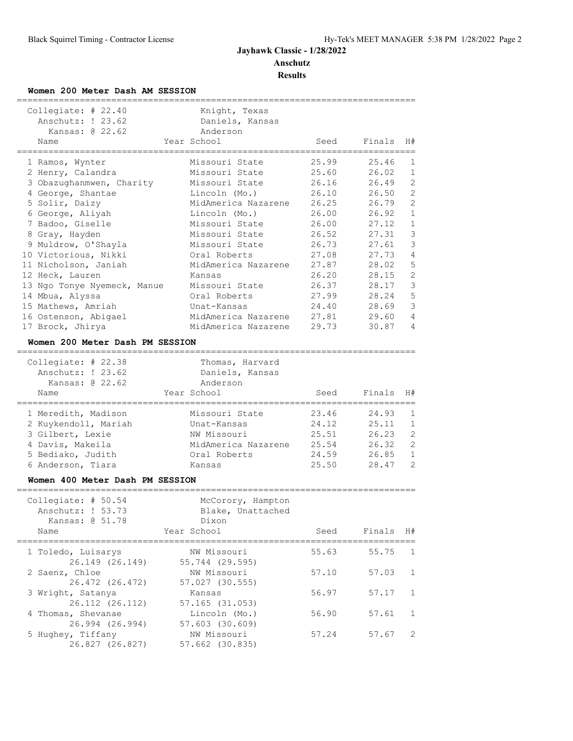## **Women 200 Meter Dash AM SESSION**

| Collegiate: # 22.40<br>Anschutz: ! 23.62<br>Kansas: @ 22.62<br>Name | Knight, Texas<br>Daniels, Kansas<br>Anderson<br>Year School | Seed           | Finals         | H#                             |
|---------------------------------------------------------------------|-------------------------------------------------------------|----------------|----------------|--------------------------------|
|                                                                     |                                                             |                |                |                                |
| 1 Ramos, Wynter                                                     | Missouri State                                              | 25.99          | 25.46          | $\mathbf{1}$                   |
| 2 Henry, Calandra                                                   | Missouri State                                              | 25.60          | 26.02          | $\mathbf{1}$                   |
| 3 Obazughanmwen, Charity                                            | Missouri State                                              | 26.16          | 26.49          | 2                              |
| 4 George, Shantae                                                   | Lincoln (Mo.)                                               | 26.10          | 26.50          | $\overline{2}$                 |
| 5 Solir, Daizy                                                      | MidAmerica Nazarene                                         | 26.25          | 26.79          | $\overline{c}$                 |
| 6 George, Aliyah                                                    | Lincoln (Mo.)                                               | 26.00          | 26.92          | $\mathbf{1}$                   |
| 7 Badoo, Giselle                                                    | Missouri State                                              | 26.00          | 27.12          | $\mathbf{1}$                   |
| 8 Gray, Hayden                                                      | Missouri State                                              | 26.52          | 27.31          | 3                              |
| 9 Muldrow, O'Shayla                                                 | Missouri State                                              | 26.73          | 27.61          | 3                              |
| 10 Victorious, Nikki                                                | Oral Roberts                                                | 27.08          | 27.73          | 4                              |
| 11 Nicholson, Janiah                                                | MidAmerica Nazarene                                         | 27.87          | 28.02          | 5                              |
| 12 Heck, Lauren                                                     | Kansas                                                      | 26.20          | 28.15          | $\overline{c}$                 |
| 13 Ngo Tonye Nyemeck, Manue                                         | Missouri State                                              | 26.37          | 28.17          | 3                              |
| 14 Mbua, Alyssa                                                     | Oral Roberts                                                | 27.99          | 28.24          | 5                              |
| 15 Mathews, Amriah                                                  | Unat-Kansas                                                 | 24.40          | 28.69          | 3                              |
| 16 Ostenson, Abigael                                                | MidAmerica Nazarene                                         | 27.81          | 29.60          | $\overline{4}$                 |
| 17 Brock, Jhirya                                                    | MidAmerica Nazarene                                         | 29.73          | 30.87          | 4                              |
| Women 200 Meter Dash PM SESSION                                     |                                                             |                |                |                                |
| ----------------------------                                        |                                                             |                |                |                                |
| Collegiate: # 22.38                                                 | Thomas, Harvard                                             |                |                |                                |
| Anschutz: ! 23.62                                                   | Daniels, Kansas                                             |                |                |                                |
| Kansas: @ 22.62                                                     | Anderson                                                    |                |                |                                |
| Name                                                                | Year School                                                 | Seed           | Finals         | H#                             |
|                                                                     |                                                             |                |                |                                |
| 1 Meredith, Madison                                                 | Missouri State                                              | 23.46          | 24.93<br>25.11 | $\mathbf{1}$<br>$\mathbf{1}$   |
| 2 Kuykendoll, Mariah                                                | Unat-Kansas<br>NW Missouri                                  | 24.12          |                | $\overline{c}$                 |
| 3 Gilbert, Lexie                                                    | MidAmerica Nazarene                                         | 25.51<br>25.54 | 26.23<br>26.32 | 2                              |
| 4 Davis, Makeila                                                    |                                                             |                |                |                                |
| 5 Bediako, Judith<br>6 Anderson, Tiara                              | Oral Roberts                                                | 24.59<br>25.50 | 26.85          | $\mathbf{1}$<br>$\overline{2}$ |
|                                                                     | Kansas                                                      |                | 28.47          |                                |
| Women 400 Meter Dash PM SESSION                                     |                                                             |                |                |                                |
| Collegiate: $# 50.54$                                               |                                                             |                |                |                                |
| Anschutz: ! 53.73                                                   | McCorory, Hampton<br>Blake, Unattached                      |                |                |                                |
| Kansas: @ 51.78                                                     | Dixon                                                       |                |                |                                |
|                                                                     | Year School                                                 | Seed           | Finals         | H#                             |
| Name                                                                |                                                             |                |                |                                |
| 1 Toledo, Luisarys                                                  | NW Missouri                                                 | 55.63          | 55.75          | 1                              |
| 26.149 (26.149)                                                     | 55.744 (29.595)                                             |                |                |                                |
| 2 Saenz, Chloe                                                      | NW Missouri                                                 | 57.10          | 57.03          | 1                              |
| 26.472 (26.472)                                                     | 57.027 (30.555)                                             |                |                |                                |
| 3 Wright, Satanya                                                   | Kansas                                                      | 56.97          | 57.17          | $\mathbf{1}$                   |
| 26.112 (26.112)                                                     | 57.165 (31.053)                                             |                |                |                                |
| 4 Thomas, Shevanae                                                  | Lincoln (Mo.)                                               | 56.90          | 57.61          | $\mathbf{1}$                   |
| 26.994 (26.994)                                                     | 57.603 (30.609)                                             |                |                |                                |
| 5 Hughey, Tiffany                                                   | NW Missouri                                                 | 57.24          | 57.67          | 2                              |
| 26.827 (26.827)                                                     | 57.662 (30.835)                                             |                |                |                                |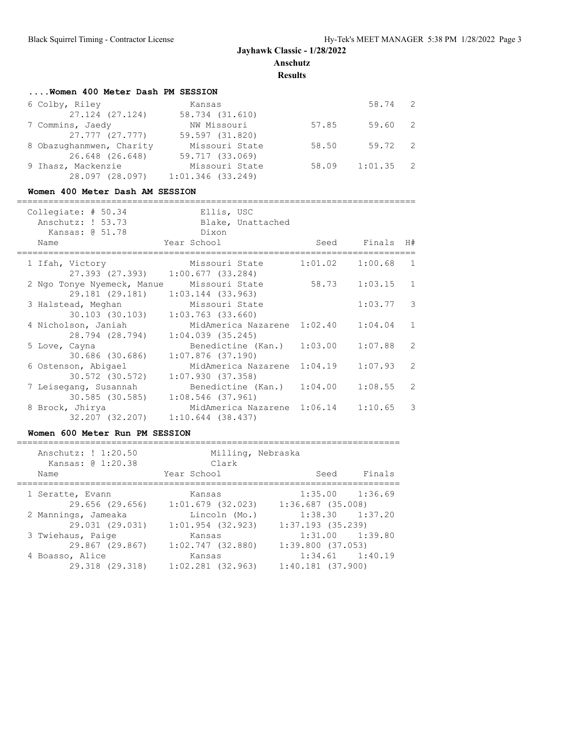**Results**

| Women 400 Meter Dash PM SESSION |                     |       |             |  |
|---------------------------------|---------------------|-------|-------------|--|
| 6 Colby, Riley                  | Kansas              |       | 58.74 2     |  |
| 27.124 (27.124)                 | 58.734 (31.610)     |       |             |  |
| 7 Commins, Jaedy                | NW Missouri         | 57.85 | 59.60 2     |  |
| 27.777 (27.777)                 | 59.597 (31.820)     |       |             |  |
| 8 Obazughanmwen, Charity        | Missouri State      | 58.50 | 59.72 2     |  |
| 26.648 (26.648)                 | 59.717 (33.069)     |       |             |  |
| 9 Ihasz, Mackenzie              | Missouri State      | 58.09 | $1:01.35$ 2 |  |
| 28.097 (28.097)                 | $1:01.346$ (33.249) |       |             |  |

### **Women 400 Meter Dash AM SESSION**

| Collegiate: $# 50.34$<br>Anschutz: ! 53.73<br>Kansas: @ 51.78 | Ellis, USC<br>Blake, Unattached<br>Dixon             |         |                |                         |
|---------------------------------------------------------------|------------------------------------------------------|---------|----------------|-------------------------|
| Name                                                          | Year School                                          |         | Seed Finals H# |                         |
| 1 Ifah, Victory                                               | Missouri State<br>27.393 (27.393) 1:00.677 (33.284)  | 1:01.02 | $1:00.68$ 1    |                         |
| 2 Ngo Tonye Nyemeck, Manue<br>29.181 (29.181)                 | Missouri State<br>$1:03.144$ (33.963)                | 58.73   | $1:03.15$ 1    |                         |
| 3 Halstead, Meghan<br>30.103 (30.103)                         | Missouri State<br>$1:03.763$ $(33.660)$              |         | 1:03.77        | $\overline{\mathbf{3}}$ |
| 4 Nicholson, Janiah<br>28.794 (28.794)                        | MidAmerica Nazarene 1:02.40<br>$1:04.039$ $(35.245)$ |         | 1:04.04        | $\overline{1}$          |
| 5 Love, Cayna<br>30.686 (30.686)                              | Benedictine (Kan.)<br>$1:07.876$ (37.190)            | 1:03.00 | 1:07.88        | 2                       |
| 6 Ostenson, Abigael<br>30.572 (30.572)                        | MidAmerica Nazarene<br>1:07.930(37.358)              | 1:04.19 | 1:07.93        | 2                       |
| 7 Leisegang, Susannah<br>30.585 (30.585)                      | Benedictine (Kan.)<br>$1:08.546$ (37.961)            | 1:04.00 | 1:08.55        | 2                       |
| 8 Brock, Jhirya<br>32.207 (32.207)                            | MidAmerica Nazarene 1:06.14<br>$1:10.644$ (38.437)   |         | 1:10.65        | 3                       |

### **Women 600 Meter Run PM SESSION**

| Anschutz: ! 1:20.50<br>Kansas: @ 1:20.38<br>Name | Milling, Nebraska<br>Clark<br>Year School | Finals<br>Seed        |
|--------------------------------------------------|-------------------------------------------|-----------------------|
| 1 Seratte, Evann                                 | Kansas                                    | $1:35.00$ $1:36.69$   |
| 29.656 (29.656)                                  | $1:01.679$ (32.023)                       | $1:36.687$ $(35.008)$ |
| 2 Mannings, Jameaka                              | Lincoln (Mo.)                             | $1:38.30$ $1:37.20$   |
| 29.031 (29.031)                                  | $1:01.954$ (32.923)                       | $1:37.193$ (35.239)   |
| 3 Twiehaus, Paige                                | Kansas                                    | $1:31.00$ $1:39.80$   |
| 29.867 (29.867)                                  | 1:02.747(32.880)                          | 1:39.800(37.053)      |
| 4 Boasso, Alice                                  | Kansas                                    | $1:34.61$ $1:40.19$   |
| 29.318 (29.318)                                  | $1:02.281$ $(32.963)$                     | $1:40.181$ $(37.900)$ |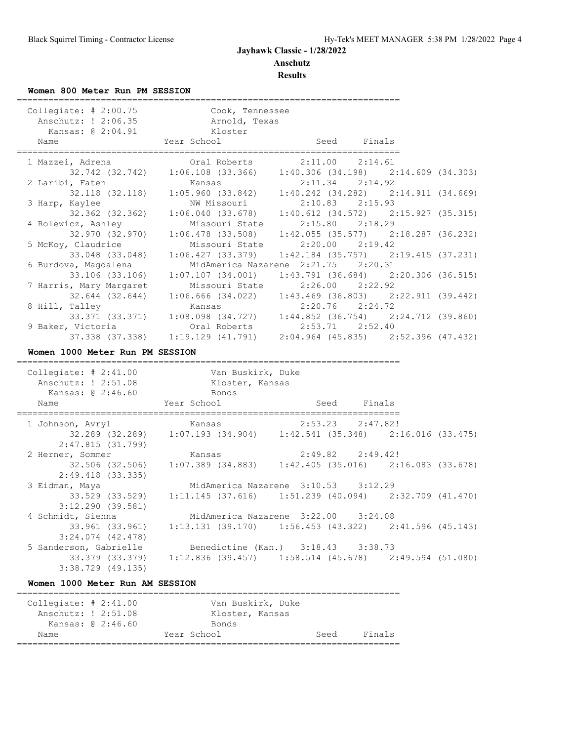**Results**

## **Women 800 Meter Run PM SESSION**

| Collegiate: $# 2:00.75$<br>vallegiate: # 2:00.75 (Cook, Tennessee Anschutz: ! 2:06.35 (Arnold, Texas<br>Kansas: @ 2:04.91<br>Name<br>====================== | Kloster<br>Year School                                                                                               | Seed Finals          |  |
|-------------------------------------------------------------------------------------------------------------------------------------------------------------|----------------------------------------------------------------------------------------------------------------------|----------------------|--|
| 1 Mazzei, Adrena                                                                                                                                            | i, Adrena (1992) 1:06.108 (33.366) 1:40.306 (34.198) 2:14.609 (34.303)                                               |                      |  |
| 2 Laribi, Faten                                                                                                                                             | Kansas                                                                                                               | $2:11.34$ $2:14.92$  |  |
|                                                                                                                                                             | 1:05.960 (33.842) 1:05.242 (34.282) 1:05.242 (34.669)                                                                |                      |  |
| 3 Harp, Kaylee<br>32.362 (32.362)                                                                                                                           | NW Missouri<br>$1:06.040$ (33.678) $1:40.612$ (34.572) $2:15.927$ (35.315)                                           | $2:10.83$ $2:15.93$  |  |
| 4 Rolewicz, Ashley                                                                                                                                          | Missouri State                                                                                                       | $2:15.80$ $2:18.29$  |  |
| 32.970 (32.970)<br>5 McKoy, Claudrice                                                                                                                       | $1:06.478$ (33.508) $1:42.055$ (35.577) $2:18.287$ (36.232)<br>Missouri State                                        | $2:20.00$ $2:19.42$  |  |
| 33.048 (33.048)                                                                                                                                             | $1:06.427$ (33.379) $1:42.184$ (35.757) $2:19.415$ (37.231)                                                          |                      |  |
| 6 Burdova, Magdalena<br>33.106 (33.106)                                                                                                                     | MidAmerica Nazarene 2:21.75 2:20.31<br>$1:07.107$ (34.001) $1:43.791$ (36.684) $2:20.306$ (36.515)                   |                      |  |
| 7 Harris, Mary Margaret                                                                                                                                     | Missouri State                                                                                                       | $2:26.00$ $2:22.92$  |  |
| 32.644 (32.644)<br>8 Hill, Talley                                                                                                                           | $1:06.666$ (34.022) $1:43.469$ (36.803) $2:22.911$ (39.442)<br>Kansas                                                | $2:20.76$ $2:24.72$  |  |
|                                                                                                                                                             | 33.371 (33.371) $1:08.098$ (34.727) $1:44.852$ (36.754) $2:24.712$ (39.860)<br>victoria Oral Roberts 2:53.71 2:52.40 |                      |  |
| 9 Baker, Victoria                                                                                                                                           | Oral Roberts<br>37.338 (37.338) 1:19.129 (41.791) 2:04.964 (45.835) 2:52.396 (47.432)                                | $2:53.71$ $2:52.40$  |  |
|                                                                                                                                                             |                                                                                                                      |                      |  |
| Women 1000 Meter Run PM SESSION                                                                                                                             |                                                                                                                      |                      |  |
|                                                                                                                                                             |                                                                                                                      |                      |  |
| Collegiate: $\#$ 2:41.00                                                                                                                                    | Van Buskirk, Duke                                                                                                    |                      |  |
| Anschutz: ! 2:51.08 Kloster, Kansas<br>Kansas: @ 2:46.60                                                                                                    | Bonds                                                                                                                |                      |  |
| Name                                                                                                                                                        | Year School                                                                                                          | Seed Finals          |  |
| 1 Johnson, Avryl                                                                                                                                            | Kansas                                                                                                               | $2:53.23$ $2:47.82!$ |  |
|                                                                                                                                                             | 32.289 (32.289) 1:07.193 (34.904) 1:42.541 (35.348) 2:16.016 (33.475)                                                |                      |  |
| 2:47.815(31.799)<br>2 Herner, Sommer                                                                                                                        | Kansas                                                                                                               | 2:49.82 2:49.42!     |  |
|                                                                                                                                                             | 32.506 (32.506) 1:07.389 (34.883) 1:42.405 (35.016) 2:16.083 (33.678)                                                |                      |  |
| $2:49.418$ (33.335)<br>3 Eidman, Maya                                                                                                                       | MidAmerica Nazarene 3:10.53 3:12.29                                                                                  |                      |  |
| 33.529 (33.529)                                                                                                                                             | $1:11.145$ (37.616) $1:51.239$ (40.094) $2:32.709$ (41.470)                                                          |                      |  |
| $3:12.290$ (39.581)<br>4 Schmidt, Sienna                                                                                                                    | MidAmerica Nazarene 3:22.00 3:24.08                                                                                  |                      |  |
| 33.961 (33.961)                                                                                                                                             | $1:13.131$ (39.170) $1:56.453$ (43.322) $2:41.596$ (45.143)                                                          |                      |  |
| $3:24.074$ $(42.478)$                                                                                                                                       |                                                                                                                      |                      |  |
| 5 Sanderson, Gabrielle<br>33.379 (33.379)<br>$3:38.729$ (49.135)                                                                                            | Benedictine (Kan.) 3:18.43 3:38.73<br>$1:12.836$ (39.457) $1:58.514$ (45.678) $2:49.594$ (51.080)                    |                      |  |

### **Women 1000 Meter Run AM SESSION**

| Collegiate: $\# 2:41.00$ |  |                 | Van Buskirk, Duke |      |        |
|--------------------------|--|-----------------|-------------------|------|--------|
| Anschutz: ! 2:51.08      |  | Kloster, Kansas |                   |      |        |
| Kansas: @ 2:46.60        |  | Bonds           |                   |      |        |
| Name                     |  | Year School     |                   | Seed | Finals |
|                          |  |                 |                   |      |        |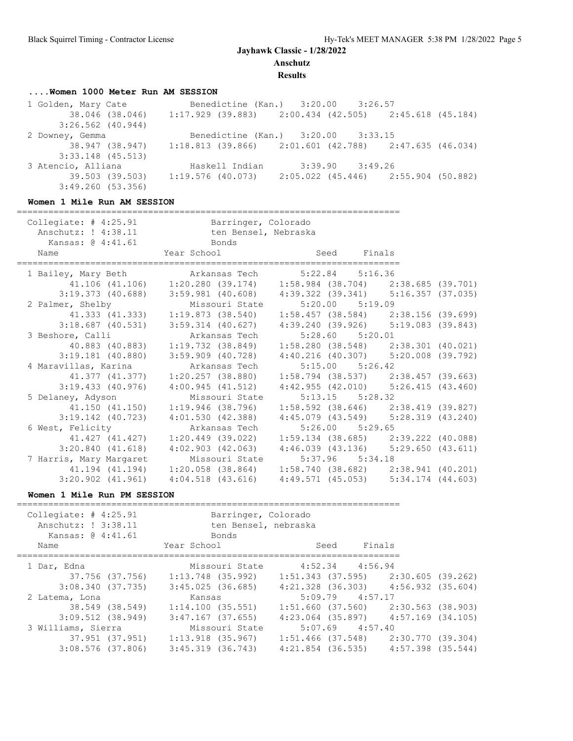**Anschutz**

**Results**

# **....Women 1000 Meter Run AM SESSION**

| 1 Golden, Mary Cate | Benedictine (Kan.) 3:20.00 3:26.57                          |                     |                                     |  |
|---------------------|-------------------------------------------------------------|---------------------|-------------------------------------|--|
| 38.046 (38.046)     | $1:17.929$ (39.883) $2:00.434$ (42.505) $2:45.618$ (45.184) |                     |                                     |  |
| $3:26.562$ (40.944) |                                                             |                     |                                     |  |
| 2 Downey, Gemma     | Benedictine (Kan.) 3:20.00 3:33.15                          |                     |                                     |  |
| 38.947 (38.947)     | $1:18.813$ (39.866) $2:01.601$ (42.788) $2:47.635$ (46.034) |                     |                                     |  |
| $3:33.148$ (45.513) |                                                             |                     |                                     |  |
| 3 Atencio, Alliana  | Haskell Indian                                              | $3:39.90$ $3:49.26$ |                                     |  |
| 39.503 (39.503)     | 1:19.576 (40.073)                                           |                     | 2:05.022 (45.446) 2:55.904 (50.882) |  |
| 3:49.260(53.356)    |                                                             |                     |                                     |  |

#### **Women 1 Mile Run AM SESSION**

| Collegiate: # 4:25.91 Barringer, Colorado<br>Anschutz: ! 4:38.11 ten Bensel, Nebraska<br>Kansas: @ 4:41.61 Bonds |                                                                                 |                                                             |  |
|------------------------------------------------------------------------------------------------------------------|---------------------------------------------------------------------------------|-------------------------------------------------------------|--|
| Year School<br>Name                                                                                              |                                                                                 | Seed Finals                                                 |  |
| 1 Bailey, Mary Beth Markansas Tech 5:22.84 5:16.36                                                               |                                                                                 |                                                             |  |
|                                                                                                                  | 41.106 (41.106) 1:20.280 (39.174) 1:58.984 (38.704) 2:38.685 (39.701)           |                                                             |  |
|                                                                                                                  | 3:19.373 (40.688) 3:59.981 (40.608) 4:39.322 (39.341) 5:16.357 (37.035)         |                                                             |  |
| 2 Palmer, Shelby                                                                                                 | Missouri State                                                                  | $5:20.00$ $5:19.09$                                         |  |
|                                                                                                                  | 41.333 (41.333) 1:19.873 (38.540)                                               | $1:58.457$ (38.584) $2:38.156$ (39.699)                     |  |
|                                                                                                                  | 3:18.687 (40.531) 3:59.314 (40.627) 4:39.240 (39.926) 5:19.083 (39.843)         |                                                             |  |
| 3 Beshore, Calli                                                                                                 | Arkansas Tech                                                                   | $5:28.60$ $5:20.01$                                         |  |
|                                                                                                                  | 40.883 (40.883) 1:19.732 (38.849)                                               | $1:58.280$ (38.548) $2:38.301$ (40.021)                     |  |
| $3:19.181$ (40.880)                                                                                              |                                                                                 | $3:59.909$ (40.728) $4:40.216$ (40.307) $5:20.008$ (39.792) |  |
| 4 Maravillas, Karina                                                                                             | Arkansas Tech                                                                   | $5:15.00$ $5:26.42$                                         |  |
|                                                                                                                  | 41.377 (41.377) 1:20.257 (38.880)                                               | $1:58.794$ (38.537) $2:38.457$ (39.663)                     |  |
| $3:19.433$ (40.976)                                                                                              | 4:00.945(41.512)                                                                | $4:42.955$ (42.010) $5:26.415$ (43.460)                     |  |
| 5 Delaney, Adyson Missouri State                                                                                 |                                                                                 | $5:13.15$ $5:28.32$                                         |  |
|                                                                                                                  | 41.150 (41.150) 1:19.946 (38.796)                                               | $1:58.592$ (38.646) $2:38.419$ (39.827)                     |  |
|                                                                                                                  | 3:19.142 (40.723) 4:01.530 (42.388) 4:45.079 (43.549) 5:28.319 (43.240)         |                                                             |  |
| 6 West, Felicity <b>Arkansas</b> Tech                                                                            |                                                                                 | $5:26.00$ $5:29.65$                                         |  |
| 41.427 (41.427)                                                                                                  | 1:20.449 (39.022)                                                               | $1:59.134$ (38.685) $2:39.222$ (40.088)                     |  |
|                                                                                                                  | $3:20.840$ (41.618) $4:02.903$ (42.063) $4:46.039$ (43.136) $5:29.650$ (43.611) |                                                             |  |
| 7 Harris, Mary Margaret Missouri State                                                                           |                                                                                 | 5:37.96 5:34.18                                             |  |
|                                                                                                                  | 41.194 (41.194) 1:20.058 (38.864)                                               | $1:58.740$ (38.682) $2:38.941$ (40.201)                     |  |
|                                                                                                                  | $3:20.902$ (41.961) $4:04.518$ (43.616) $4:49.571$ (45.053) $5:34.174$ (44.603) |                                                             |  |

### **Women 1 Mile Run PM SESSION**

| Collegiate: $\#$ 4:25.91<br>Anschutz: ! 3:38.11<br>Kansas: @ 4:41.61<br>Name | Barringer, Colorado<br>ten Bensel, nebraska<br>Bonds<br>Year School | Finals<br>Seed                          |                   |
|------------------------------------------------------------------------------|---------------------------------------------------------------------|-----------------------------------------|-------------------|
| 1 Dar, Edna                                                                  | Missouri State                                                      | $4:52.34$ $4:56.94$                     |                   |
| 37.756 (37.756)                                                              | 1:13.748 (35.992)                                                   | $1:51.343$ (37.595) $2:30.605$ (39.262) |                   |
| 3:08.340(37.735)                                                             | $3:45.025$ (36.685)                                                 | $4:21.328$ (36.303) $4:56.932$ (35.604) |                   |
| 2 Latema, Lona                                                               | Kansas                                                              | $5:09.79$ $4:57.17$                     |                   |
| 38.549 (38.549)                                                              | 1:14.100(35.551)                                                    | $1:51.660$ (37.560) 2:30.563 (38.903)   |                   |
| $3:09.512$ (38.949)                                                          | 3:47.167 (37.655)                                                   | $4:23.064$ (35.897) $4:57.169$ (34.105) |                   |
| 3 Williams, Sierra                                                           | Missouri State                                                      | $5:07.69$ $4:57.40$                     |                   |
| 37.951 (37.951)                                                              | 1:13.918 (35.967)                                                   | 1:51.466 (37.548)                       | 2:30.770 (39.304) |
| $3:08.576$ (37.806)                                                          | $3:45.319$ $(36.743)$                                               | $4:21.854$ (36.535) $4:57.398$ (35.544) |                   |
|                                                                              |                                                                     |                                         |                   |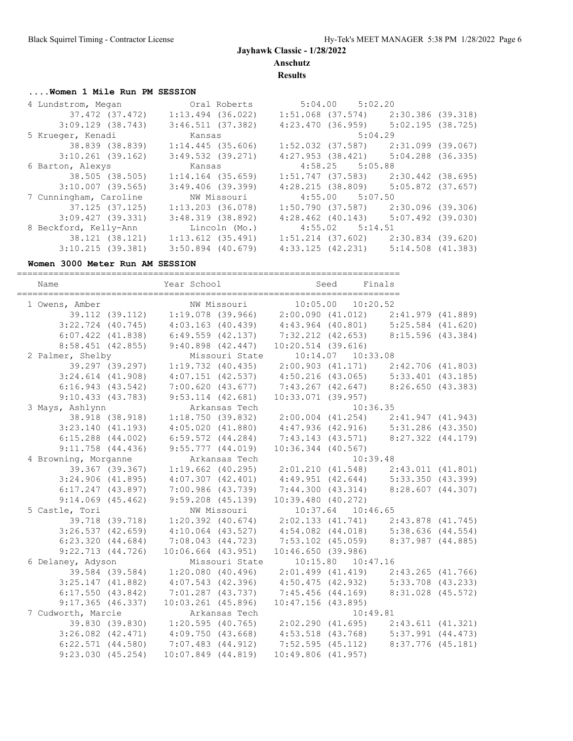**Anschutz**

**Results**

# **....Women 1 Mile Run PM SESSION**

| 4 Lundstrom, Megan     | Oral Roberts          | $5:04.00$ $5:02.20$                     |                     |
|------------------------|-----------------------|-----------------------------------------|---------------------|
| 37.472 (37.472)        | $1:13.494$ (36.022)   | $1:51.068$ (37.574)                     | 2:30.386 (39.318)   |
| $3:09.129$ (38.743)    | $3:46.511$ (37.382)   | 4:23.470(36.959)                        | $5:02.195$ (38.725) |
| 5 Krueger, Kenadi      | Kansas                | 5:04.29                                 |                     |
| 38.839 (38.839)        | $1:14.445$ (35.606)   | 1:52.032 (37.587)                       | 2:31.099 (39.067)   |
| $3:10.261$ (39.162)    | $3:49.532$ $(39.271)$ | $4:27.953$ (38.421)                     | 5:04.288 (36.335)   |
| 6 Barton, Alexys       | Kansas                | $4:58.25$ $5:05.88$                     |                     |
| 38.505 (38.505)        | $1:14.164$ (35.659)   | 1:51.747 (37.583)                       | 2:30.442 (38.695)   |
| $3:10.007$ (39.565)    | $3:49.406$ (39.399)   | $4:28.215$ (38.809) $5:05.872$ (37.657) |                     |
| 7 Cunningham, Caroline | NW Missouri           | $4:55.00$ $5:07.50$                     |                     |
| 37.125 (37.125)        | $1:13.203$ (36.078)   | 1:50.790 (37.587)                       | 2:30.096 (39.306)   |
| 3:09.427(39.331)       | $3:48.319$ (38.892)   | $4:28.462$ $(40.143)$                   | $5:07.492$ (39.030) |
| 8 Beckford, Kelly-Ann  | Lincoln (Mo.)         | $4:55.02$ $5:14.51$                     |                     |
| 38.121 (38.121)        | $1:13.612$ $(35.491)$ | 1:51.214 (37.602)                       | 2:30.834 (39.620)   |
| 3:10.215(39.381)       | $3:50.894$ (40.679)   | 4:33.125(42.231)                        | $5:14.508$ (41.383) |

#### **Women 3000 Meter Run AM SESSION**

| Name<br>============================= | Year School                                                           | <b>Seed</b><br>Finals                                 |                   |
|---------------------------------------|-----------------------------------------------------------------------|-------------------------------------------------------|-------------------|
| 1 Owens, Amber                        | NW Missouri                                                           | $10:05.00$ $10:20.52$                                 |                   |
|                                       | 39.112 (39.112) 1:19.078 (39.966) 2:00.090 (41.012) 2:41.979 (41.889) |                                                       |                   |
| $3:22.724$ (40.745)                   | $4:03.163$ (40.439) $4:43.964$ (40.801) $5:25.584$ (41.620)           |                                                       |                   |
| $6:07.422$ $(41.838)$                 | 6:49.559 (42.137) 7:32.212 (42.653) 8:15.596 (43.384)                 |                                                       |                   |
| $8:58.451$ (42.855)                   | $9:40.898$ $(42.447)$                                                 | $10:20.514$ (39.616)                                  |                   |
| 2 Palmer, Shelby                      | Missouri State                                                        | $10:14.07$ $10:33.08$                                 |                   |
| 39.297 (39.297)                       | $1:19.732$ (40.435)                                                   | 2:00.903 (41.171) 2:42.706 (41.803)                   |                   |
| $3:24.614$ $(41.908)$                 |                                                                       | 4:07.151 (42.537) 4:50.216 (43.065) 5:33.401 (43.185) |                   |
| 6:16.943(43.542)                      | 7:00.620 (43.677)                                                     | 7:43.267 (42.647) 8:26.650 (43.383)                   |                   |
| 9:10.433(43.783)                      | $9:53.114$ $(42.681)$                                                 | 10:33.071(39.957)                                     |                   |
| 3 Mays, Ashlynn                       | Arkansas Tech                                                         | 10:36.35                                              |                   |
| 38.918 (38.918)                       | 1:18.750(39.832)                                                      | 2:00.004 (41.254) 2:41.947 (41.943)                   |                   |
| 3:23.140(41.193)                      | 4:05.020(41.880)                                                      | 4:47.936 (42.916) 5:31.286 (43.350)                   |                   |
| $6:15.288$ $(44.002)$                 | $6:59.572$ $(44.284)$                                                 | 7:43.143 (43.571) 8:27.322 (44.179)                   |                   |
| $9:11.758$ $(44.436)$                 | $9:55.777$ $(44.019)$                                                 | $10:36.344$ (40.567)                                  |                   |
| 4 Browning, Morganne                  | Arkansas Tech                                                         | 10:39.48                                              |                   |
| 39.367 (39.367)                       | $1:19.662$ (40.295)                                                   | 2:01.210 (41.548) 2:43.011 (41.801)                   |                   |
| $3:24.906$ (41.895)                   | 4:07.307(42.401)                                                      | 4:49.951 (42.644) 5:33.350 (43.399)                   |                   |
| $6:17.247$ $(43.897)$                 | 7:00.986(43.739)                                                      | 7:44.300 (43.314) 8:28.607 (44.307)                   |                   |
| $9:14.069$ $(45.462)$                 | $9:59.208$ $(45.139)$                                                 | $10:39.480$ $(40.272)$                                |                   |
| 5 Castle, Tori                        | NW Missouri                                                           | 10:37.64 10:46.65                                     |                   |
| 39.718 (39.718)                       | $1:20.392$ $(40.674)$                                                 | $2:02.133$ (41.741) $2:43.878$ (41.745)               |                   |
| 3:26.537(42.659)                      | $4:10.064$ $(43.527)$                                                 | 4:54.082 (44.018) 5:38.636 (44.554)                   |                   |
| 6:23.320(44.684)                      | $7:08.043$ $(44.723)$                                                 | 7:53.102 (45.059) 8:37.987 (44.885)                   |                   |
| 9:22.713(44.726)                      | $10:06.664$ $(43.951)$                                                | 10:46.650(39.986)                                     |                   |
| 6 Delaney, Adyson                     | Missouri State                                                        | $10:15.80$ $10:47.16$                                 |                   |
| 39.584 (39.584)                       | $1:20.080$ (40.496)                                                   | $2:01.499$ (41.419) $2:43.265$ (41.766)               |                   |
| $3:25.147$ (41.882)                   | $4:07.543$ $(42.396)$                                                 | 4:50.475 (42.932) 5:33.708 (43.233)                   |                   |
| $6:17.550$ $(43.842)$                 | $7:01.287$ (43.737)                                                   | 7:45.456 (44.169)                                     | 8:31.028 (45.572) |
| $9:17.365$ (46.337)                   | $10:03.261$ (45.896)                                                  | $10:47.156$ (43.895)                                  |                   |
| 7 Cudworth, Marcie                    | Arkansas Tech                                                         | 10:49.81                                              |                   |
| 39.830 (39.830)                       | $1:20.595$ (40.765) $2:02.290$ (41.695) $2:43.611$ (41.321)           |                                                       |                   |
| $3:26.082$ $(42.471)$                 | 4:09.750(43.668)                                                      | $4:53.518$ (43.768) $5:37.991$ (44.473)               |                   |
| $6:22.571$ $(44.580)$                 | 7:07.483 (44.912)                                                     | 7:52.595(45.112)                                      | 8:37.776 (45.181) |
| 9:23.030(45.254)                      | $10:07.849$ $(44.819)$                                                | $10:49.806$ $(41.957)$                                |                   |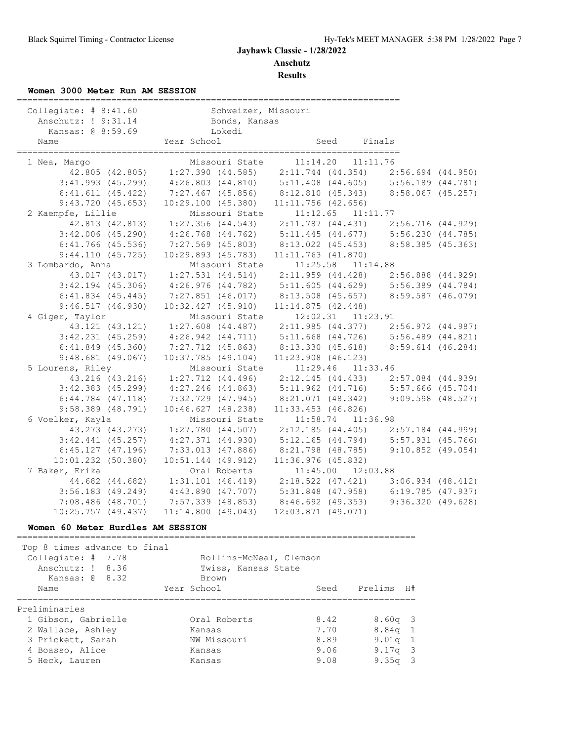**Results**

### **Women 3000 Meter Run AM SESSION**

| Collegiate: # 8:41.60 Schweizer, Missouri |                     |                                                                                                                                                          |                        |                                               |      |                                                             |  |
|-------------------------------------------|---------------------|----------------------------------------------------------------------------------------------------------------------------------------------------------|------------------------|-----------------------------------------------|------|-------------------------------------------------------------|--|
| Anschutz: ! 9:31.14 Bonds, Kansas         |                     |                                                                                                                                                          |                        |                                               |      |                                                             |  |
| Kansas: @ 8:59.69                         |                     |                                                                                                                                                          | Lokedi                 |                                               |      |                                                             |  |
| Name                                      |                     | Year School                                                                                                                                              |                        |                                               | Seed | Finals                                                      |  |
| 1 Nea, Margo                              |                     |                                                                                                                                                          | Missouri State         |                                               |      | $11:14.20$ $11:11.76$                                       |  |
|                                           |                     | 42.805 (42.805) 1:27.390 (44.585) 2:11.744 (44.354) 2:56.694 (44.950)                                                                                    |                        |                                               |      |                                                             |  |
|                                           |                     | 3:41.993 (45.299) $4:26.803$ (44.810) $5:11.408$ (44.605) $5:56.189$ (44.781)                                                                            |                        |                                               |      |                                                             |  |
|                                           |                     | 6:41.611 (45.422) 7:27.467 (45.856) 8:12.810 (45.343) 8:58.067 (45.257)                                                                                  |                        |                                               |      |                                                             |  |
|                                           | 9:43.720(45.653)    |                                                                                                                                                          |                        | $10:29.100$ $(45.380)$ $11:11.756$ $(42.656)$ |      |                                                             |  |
| 2 Kaempfe, Lillie                         |                     |                                                                                                                                                          |                        | Missouri State 11:12.65 11:11.77              |      |                                                             |  |
|                                           |                     | 42.813 (42.813) 1:27.356 (44.543) 2:11.787 (44.431) 2:56.716 (44.929)                                                                                    |                        |                                               |      |                                                             |  |
|                                           |                     | 3:42.006 (45.290) 4:26.768 (44.762) 5:11.445 (44.677) 5:56.230 (44.785)                                                                                  |                        |                                               |      |                                                             |  |
|                                           |                     | 6:41.766 (45.536) 7:27.569 (45.803) 8:13.022 (45.453) 8:58.385 (45.363)                                                                                  |                        |                                               |      |                                                             |  |
|                                           | 9:44.110(45.725)    |                                                                                                                                                          | $10:29.893$ (45.783)   | $11:11.763$ $(41.870)$                        |      |                                                             |  |
| 3 Lombardo, Anna                          |                     |                                                                                                                                                          | Missouri State         |                                               |      | $11:25.58$ $11:14.88$                                       |  |
|                                           |                     | 43.017 (43.017) 1:27.531 (44.514) 2:11.959 (44.428) 2:56.888 (44.929)                                                                                    |                        |                                               |      |                                                             |  |
|                                           |                     | $3:42.194$ (45.306) $4:26.976$ (44.782) $5:11.605$ (44.629) $5:56.389$ (44.784)                                                                          |                        |                                               |      |                                                             |  |
|                                           |                     | 6:41.834 (45.445) 7:27.851 (46.017) 8:13.508 (45.657) 8:59.587 (46.079)                                                                                  |                        |                                               |      |                                                             |  |
|                                           | 9:46.517(46.930)    |                                                                                                                                                          | $10:32.427$ $(45.910)$ | 11:14.875(42.448)                             |      |                                                             |  |
| 4 Giger, Taylor                           |                     |                                                                                                                                                          | Missouri State         |                                               |      | 12:02.31 11:23.91                                           |  |
|                                           |                     |                                                                                                                                                          |                        |                                               |      |                                                             |  |
|                                           |                     | 43.121 (43.121) 1:27.608 (44.487) 2:11.985 (44.377) 2:56.972 (44.987)<br>3:42.231 (45.259) 4:26.942 (44.711) 5:11.668 (44.726) 5:56.489 (44.821)         |                        |                                               |      |                                                             |  |
|                                           |                     | 6:41.849 (45.360) 7:27.712 (45.863) 8:13.330 (45.618) 8:59.614 (46.284)                                                                                  |                        |                                               |      |                                                             |  |
|                                           | $9:48.681$ (49.067) |                                                                                                                                                          | 10:37.785(49.104)      | $11:23.908$ (46.123)                          |      |                                                             |  |
| 5 Lourens, Riley                          |                     |                                                                                                                                                          | Missouri State         |                                               |      | 11:29.46 11:33.46                                           |  |
|                                           |                     | 43.216 (43.216) 1:27.712 (44.496) 2:12.145 (44.433) 2:57.084 (44.939)                                                                                    |                        |                                               |      |                                                             |  |
|                                           |                     |                                                                                                                                                          |                        |                                               |      |                                                             |  |
|                                           |                     | 3:42.383 (45.299) $4:27.246$ (44.863) $5:11.962$ (44.716) $5:57.666$ (45.704)<br>6:44.784 (47.118) 7:32.729 (47.945) 8:21.071 (48.342) 9:09.598 (48.527) |                        |                                               |      |                                                             |  |
| $9:58.389$ (48.791)                       |                     |                                                                                                                                                          | 10:46.627(48.238)      | $11:33.453$ (46.826)                          |      |                                                             |  |
| 6 Voelker, Kayla                          |                     |                                                                                                                                                          | Missouri State         |                                               |      | $11:58.74$ $11:36.98$                                       |  |
|                                           | 43.273 (43.273)     |                                                                                                                                                          |                        |                                               |      | $1:27.780$ (44.507) $2:12.185$ (44.405) $2:57.184$ (44.999) |  |
| $3:42.441$ (45.257)                       |                     |                                                                                                                                                          |                        |                                               |      | $4:27.371$ (44.930) $5:12.165$ (44.794) $5:57.931$ (45.766) |  |
| $6:45.127$ $(47.196)$                     |                     |                                                                                                                                                          |                        |                                               |      | 7:33.013 (47.886) 8:21.798 (48.785) 9:10.852 (49.054)       |  |
| $10:01.232$ (50.380)                      |                     |                                                                                                                                                          | $10:51.144$ (49.912)   | $11:36.976$ (45.832)                          |      |                                                             |  |
| 7 Baker, Erika                            |                     |                                                                                                                                                          | Oral Roberts           |                                               |      | 11:45.00 12:03.88                                           |  |
|                                           |                     | 44.682 (44.682) 1:31.101 (46.419) 2:18.522 (47.421) 3:06.934 (48.412)                                                                                    |                        |                                               |      |                                                             |  |
|                                           |                     | 3:56.183 (49.249) 4:43.890 (47.707) 5:31.848 (47.958) 6:19.785 (47.937)                                                                                  |                        |                                               |      |                                                             |  |
| $7:08.486$ (48.701)                       |                     | 7:57.339 (48.853) 8:46.692 (49.353) 9:36.320 (49.628)                                                                                                    |                        |                                               |      |                                                             |  |
| $10:25.757$ (49.437)                      |                     | 11:14.800(49.043)                                                                                                                                        |                        | $12:03.871$ (49.071)                          |      |                                                             |  |

#### **Women 60 Meter Hurdles AM SESSION**

============================================================================ Top 8 times advance to final Collegiate: # 7.78 Rollins-McNeal, Clemson Anschutz: ! 8.36 Twiss, Kansas State Kansas: @ 8.32 Brown Name Year School Seed Prelims H# ============================================================================ Preliminaries 1 Gibson, Gabrielle Oral Roberts 8.42 8.60q 3 2 Wallace, Ashley Kansas 7.70 8.84q 1 3 Prickett, Sarah NW Missouri 8.89 9.01q 1 4 Boasso, Alice Kansas 9.06 9.17q 3 5 Heck, Lauren Kansas 9.08 9.35q 3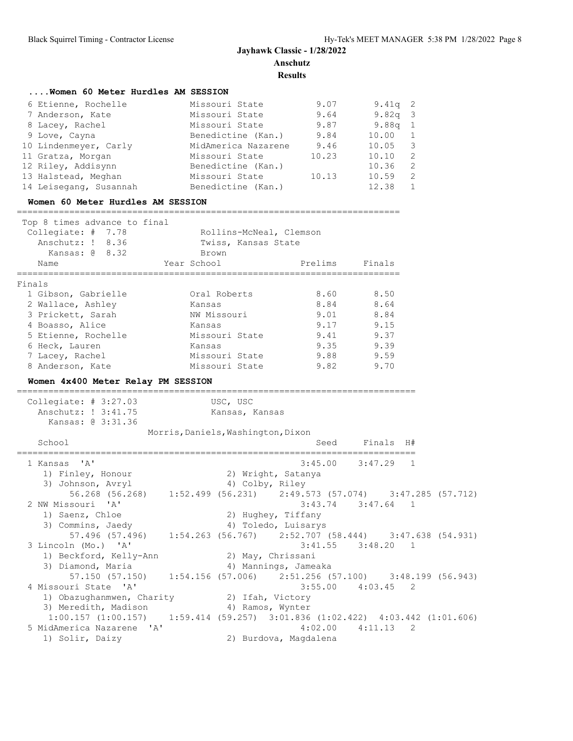**Results**

| Women 60 Meter Hurdles AM SESSION                                               |                                                                       |         |                                     |                |  |
|---------------------------------------------------------------------------------|-----------------------------------------------------------------------|---------|-------------------------------------|----------------|--|
| 6 Etienne, Rochelle                                                             | Missouri State                                                        | 9.07    | 9.41q                               | 2              |  |
| 7 Anderson, Kate                                                                | Missouri State                                                        | 9.64    | 9.82q                               | 3              |  |
| 8 Lacey, Rachel                                                                 | Missouri State                                                        | 9.87    | 9.88q                               | $\mathbf{1}$   |  |
| 9 Love, Cayna                                                                   | Benedictine (Kan.)                                                    | 9.84    | 10.00                               | $\mathbf 1$    |  |
| 10 Lindenmeyer, Carly                                                           | MidAmerica Nazarene 9.46                                              |         | 10.05                               | 3              |  |
| 11 Gratza, Morgan                                                               | Missouri State                                                        | 10.23   | 10.10                               | 2              |  |
| 12 Riley, Addisynn                                                              | Benedictine (Kan.)                                                    |         | 10.36                               | 2              |  |
| 13 Halstead, Meghan                                                             | Missouri State                                                        | 10.13   | 10.59                               | 2              |  |
| 14 Leisegang, Susannah                                                          | Benedictine (Kan.)                                                    |         | 12.38                               | $\mathbf{1}$   |  |
| Women 60 Meter Hurdles AM SESSION                                               |                                                                       |         |                                     |                |  |
|                                                                                 |                                                                       |         |                                     |                |  |
| Top 8 times advance to final                                                    |                                                                       |         |                                     |                |  |
| Collegiate: # 7.78                                                              | Rollins-McNeal, Clemson                                               |         |                                     |                |  |
| Anschutz: ! 8.36                                                                | Twiss, Kansas State                                                   |         |                                     |                |  |
| Kansas: $\theta$ 8.32                                                           | Brown                                                                 |         |                                     |                |  |
| Name                                                                            | Year School<br>=================                                      | Prelims | Finals                              |                |  |
| Finals                                                                          |                                                                       |         |                                     |                |  |
| 1 Gibson, Gabrielle                                                             | Oral Roberts                                                          | 8.60    | 8.50                                |                |  |
| 2 Wallace, Ashley                                                               | Kansas                                                                | 8.84    | 8.64                                |                |  |
| 3 Prickett, Sarah                                                               | NW Missouri                                                           | 9.01    | 8.84                                |                |  |
| 4 Boasso, Alice                                                                 | Kansas                                                                | 9.17    | 9.15                                |                |  |
| 5 Etienne, Rochelle                                                             | Missouri State                                                        | 9.41    | 9.37                                |                |  |
| 6 Heck, Lauren                                                                  | Kansas                                                                | 9.35    | 9.39                                |                |  |
| 7 Lacey, Rachel                                                                 | Missouri State                                                        | 9.88    | 9.59                                |                |  |
| 8 Anderson, Kate                                                                | Missouri State                                                        | 9.82    | 9.70                                |                |  |
| Women 4x400 Meter Relay PM SESSION                                              |                                                                       |         |                                     |                |  |
|                                                                                 | USC, USC                                                              |         | =================================== |                |  |
| Collegiate: $# 3:27.03$<br>Anschutz: ! 3:41.75                                  | Kansas, Kansas                                                        |         |                                     |                |  |
| Kansas: 0 3:31.36                                                               |                                                                       |         |                                     |                |  |
|                                                                                 | Morris, Daniels, Washington, Dixon                                    |         |                                     |                |  |
| School                                                                          |                                                                       | Seed    | Finals                              | H#             |  |
|                                                                                 |                                                                       |         |                                     |                |  |
| $\mathsf{A}$<br>1 Kansas                                                        |                                                                       | 3:45.00 | 3:47.29                             | $\overline{1}$ |  |
| 1) Finley, Honour                                                               | 2) Wright, Satanya                                                    |         |                                     |                |  |
| 3) Johnson, Avryl                                                               | 4) Colby, Riley                                                       |         |                                     |                |  |
|                                                                                 | 56.268 (56.268) 1:52.499 (56.231) 2:49.573 (57.074) 3:47.285 (57.712) |         |                                     |                |  |
| 2 NW Missouri 'A'                                                               |                                                                       | 3:43.74 | $3:47.64$ 1                         |                |  |
| 1) Saenz, Chloe                                                                 | 2) Hughey, Tiffany                                                    |         |                                     |                |  |
| 3) Commins, Jaedy                                                               | 4) Toledo, Luisarys                                                   |         |                                     |                |  |
|                                                                                 | 57.496 (57.496) 1:54.263 (56.767) 2:52.707 (58.444) 3:47.638 (54.931) |         |                                     |                |  |
| 3 Lincoln (Mo.) 'A'                                                             |                                                                       |         | $3:41.55$ $3:48.20$ 1               |                |  |
| 1) Beckford, Kelly-Ann                                                          | 2) May, Chrissani                                                     |         |                                     |                |  |
| 3) Diamond, Maria                                                               | 4) Mannings, Jameaka                                                  |         |                                     |                |  |
|                                                                                 | 57.150 (57.150) 1:54.156 (57.006) 2:51.256 (57.100) 3:48.199 (56.943) |         |                                     |                |  |
| 4 Missouri State 'A'                                                            |                                                                       |         | $3:55.00$ $4:03.45$ 2               |                |  |
| 1) Obazughanmwen, Charity (2) Ifah, Victory                                     |                                                                       |         |                                     |                |  |
| 3) Meredith, Madison                                                            | 4) Ramos, Wynter                                                      |         |                                     |                |  |
| $1:00.157$ (1:00.157) 1:59.414 (59.257) 3:01.836 (1:02.422) 4:03.442 (1:01.606) |                                                                       |         |                                     |                |  |
| 5 MidAmerica Nazarene 'A'                                                       |                                                                       | 4:02.00 | 4:11.13                             | 2              |  |
| 1) Solir, Daizy                                                                 | 2) Burdova, Magdalena                                                 |         |                                     |                |  |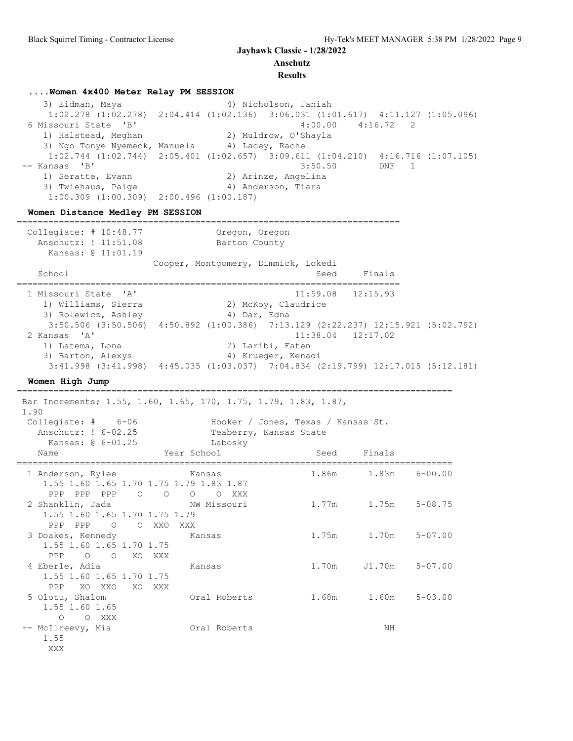### **Results**

### **....Women 4x400 Meter Relay PM SESSION**

3) Eidman, Maya (4) Nicholson, Janiah 1:02.278 (1:02.278) 2:04.414 (1:02.136) 3:06.031 (1:01.617) 4:11.127 (1:05.096) 6 Missouri State 'B' 4:00.00 4:16.72 2 1) Halstead, Meghan 2) Muldrow, O'Shayla 3) Ngo Tonye Nyemeck, Manuela  $4$ ) Lacey, Rachel 1:02.744 (1:02.744) 2:05.401 (1:02.657) 3:09.611 (1:04.210) 4:16.716 (1:07.105)<br>-- Kansas 'B' 3:50.50 DNF 1 3:50.50 DNF 1 1) Seratte, Evann 1988 (2008) 20 Arinze, Angelina 3) Twiehaus, Paige (4) Anderson, Tiara 1:00.309 (1:00.309) 2:00.496 (1:00.187)

#### **Women Distance Medley PM SESSION**

========================================================================= Collegiate: # 10:48.77 Oregon, Oregon Anschutz: ! 11:51.08 Barton County Kansas: @ 11:01.19 Cooper, Montgomery, Dimmick, Lokedi School Seed Finals ========================================================================= 1 Missouri State 'A' 11:59.08 12:15.93 1) Williams, Sierra 2) McKoy, Claudrice 3) Rolewicz, Ashley (4) Dar, Edna  $3:50.506$  (3:50.506) 4:50.892 (1:00.386) 7:13.129 (2:22.237) 12:15.921 (5:02.792)<br>ansas 'A' 11:38.04 12:17.02 2 Kansas 'A' 11:38.04 12:17.02 1) Latema, Lona (2) Laribi, Faten 3) Barton, Alexys (4) Krueger, Kenadi 3:41.998 (3:41.998) 4:45.035 (1:03.037) 7:04.834 (2:19.799) 12:17.015 (5:12.181)

#### **Women High Jump** ===================================================================================

XXX

 Bar Increments; 1.55, 1.60, 1.65, 170, 1.75, 1.79, 1.83, 1.87, 1.90 Collegiate: #  $6-06$  Hooker / Jones, Texas / Kansas St.<br>Anschutz: !  $6-02.25$  Teaberry, Kansas State<br>Kansas: @  $6-01.25$  Labosky Anschutz: ! 6-02.25 Teaberry, Kansas State Kansas: @ 6-01.25 Labosky Name Year School Seed Finals =================================================================================== 1 Anderson, Rylee Kansas 1.86m 1.83m 6-00.00 1.55 1.60 1.65 1.70 1.75 1.79 1.83 1.87 PPP PPP O O O O XXX 2 Shanklin, Jada NW Missouri 1.77m 1.75m 5-08.75 1.55 1.60 1.65 1.70 1.75 1.79 PPP PPP O O XXO XXX 3 Doakes, Kennedy Kansas 1.75m 1.70m 5-07.00 1.55 1.60 1.65 1.70 1.75 PPP O O XO XXX 4 Eberle, Adia Kansas 1.70m J1.70m 5-07.00 1.55 1.60 1.65 1.70 1.75 PPP XO XXO XO XXX<br>5 Olotu, Shalom Oral Roberts 1.68m 1.60m 5-03.00 1.55 1.60 1.65 O O XXX<br>-- McIlreevy, Mia Oral Roberts NH 1.55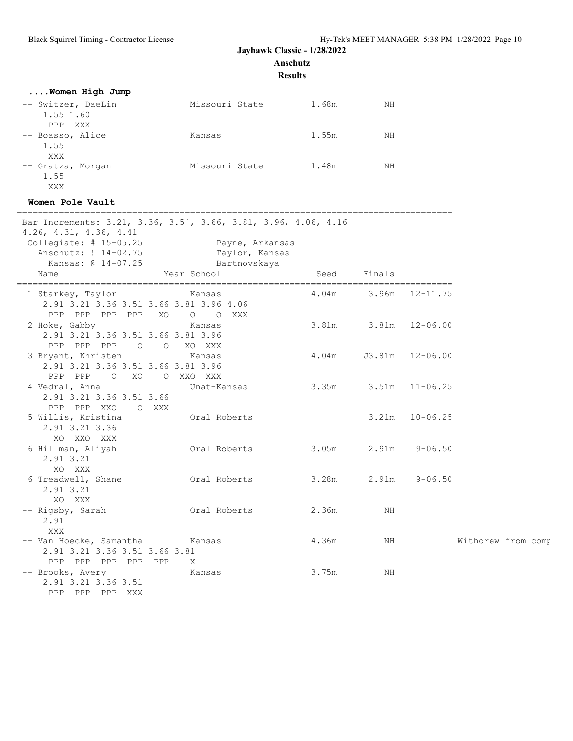**Anschutz**

**Results**

| Women High Jump                                                                                                                                                                      |                                                                  |                            |          |                    |                    |
|--------------------------------------------------------------------------------------------------------------------------------------------------------------------------------------|------------------------------------------------------------------|----------------------------|----------|--------------------|--------------------|
| -- Switzer, DaeLin<br>1.55 1.60<br>PPP XXX                                                                                                                                           | Missouri State 1.68m                                             |                            | NH       |                    |                    |
| -- Boasso, Alice<br>1.55<br>XXX                                                                                                                                                      | Kansas                                                           | 1.55m                      | NH       |                    |                    |
| -- Gratza, Morgan<br>1.55<br>XXX                                                                                                                                                     | Missouri State 1.48m                                             |                            | NH       |                    |                    |
| Women Pole Vault                                                                                                                                                                     |                                                                  |                            |          |                    |                    |
| Bar Increments: 3.21, 3.36, 3.5, 3.66, 3.81, 3.96, 4.06, 4.16<br>$4.26$ , $4.31$ , $4.36$ , $4.41$<br>Collegiate: $# 15-05.25$<br>Anschutz: ! 14-02.75<br>Kansas: @ 14-07.25<br>Name | Payne, Arkansas<br>Taylor, Kansas<br>Bartnovskaya<br>Year School | Seed                       | Finals   |                    |                    |
| 1 Starkey, Taylor<br>2.91 3.21 3.36 3.51 3.66 3.81 3.96 4.06<br>PPP PPP PPP PPP XO                                                                                                   | Kansas<br>O O XXX                                                | 4.04m 3.96m 12-11.75       |          |                    |                    |
| 2 Hoke, Gabby<br>2.91 3.21 3.36 3.51 3.66 3.81 3.96<br>PPP PPP PPP 0 0 XO XXX                                                                                                        | Kansas                                                           | 3.81m                      |          | $3.81m$ $12-06.00$ |                    |
| 3 Bryant, Khristen<br>2.91 3.21 3.36 3.51 3.66 3.81 3.96<br>PPP PPP<br>O XO O XXO XXX                                                                                                | Kansas                                                           | 4.04m                      |          | J3.81m 12-06.00    |                    |
| 4 Vedral, Anna<br>2.91 3.21 3.36 3.51 3.66<br>PPP PPP XXO O XXX                                                                                                                      | Unat-Kansas                                                      | $3.35m$ $3.51m$ $11-06.25$ |          |                    |                    |
| 5 Willis, Kristina<br>2.91 3.21 3.36<br>XO XXO XXX                                                                                                                                   | Oral Roberts                                                     |                            | 3.21m    | $10 - 06.25$       |                    |
| 6 Hillman, Aliyah<br>2.91 3.21<br>XO XXX                                                                                                                                             | Oral Roberts                                                     | 3.05m                      |          | $2.91m$ $9-06.50$  |                    |
| 6 Treadwell, Shane<br>2.91 3.21<br>XO XXX                                                                                                                                            | Oral Roberts                                                     | 3.28m                      |          | $2.91m$ $9-06.50$  |                    |
| -- Rigsby, Sarah<br>2.91<br>XXX                                                                                                                                                      | Oral Roberts                                                     | 2.36m                      | $\rm NH$ |                    |                    |
| -- Van Hoecke, Samantha<br>2.91 3.21 3.36 3.51 3.66 3.81<br>PPP PPP PPP PPP PPP                                                                                                      | Kansas<br>X                                                      | 4.36m                      | NH       |                    | Withdrew from comp |
| -- Brooks, Avery<br>2.91 3.21 3.36 3.51<br>PPP PPP PPP XXX                                                                                                                           | Kansas                                                           | 3.75m                      | ΝH       |                    |                    |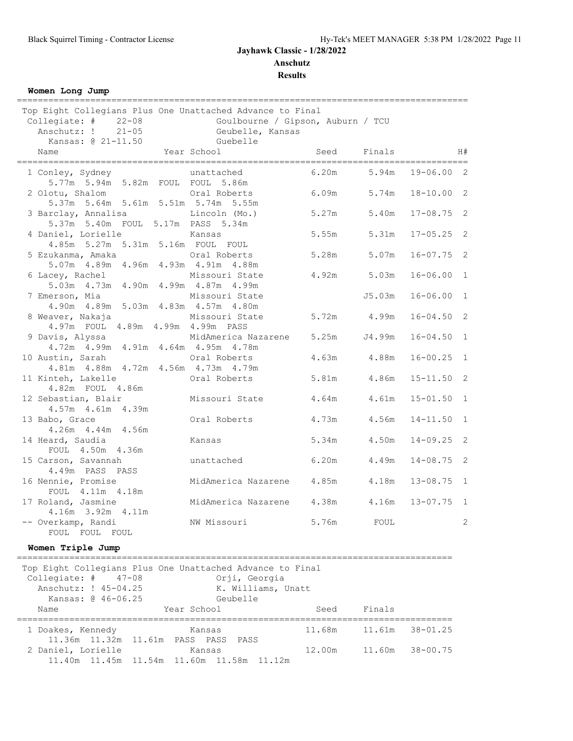**Results**

**Women Long Jump**

| Top Eight Collegians Plus One Unattached Advance to Final<br>Collegiate: # 22-08<br>Anschutz: ! 21-05<br>Kansas: @ 21-11.50 Guebelle | Goulbourne / Gipson, Auburn / TCU<br>Geubelle, Kansas |             |             |                        |    |
|--------------------------------------------------------------------------------------------------------------------------------------|-------------------------------------------------------|-------------|-------------|------------------------|----|
| Name                                                                                                                                 | Year School                                           | Seed Finals |             |                        | H# |
| 1 Conley, Sydney                                                                                                                     | unattached                                            |             |             | 6.20m 5.94m 19-06.00 2 |    |
| 5.77m 5.94m 5.82m FOUL FOUL 5.86m<br>2 Olotu, Shalom                                                                                 | Oral Roberts                                          | 6.09m       | 5.74m       | $18 - 10.00$ 2         |    |
| 5.37m 5.64m 5.61m 5.51m 5.74m 5.55m<br>3 Barclay, Annalisa                                                                           | Lincoln (Mo.)                                         | 5.27m       | 5.40m       | $17 - 08.75$ 2         |    |
| 5.37m 5.40m FOUL 5.17m PASS 5.34m<br>4 Daniel, Lorielle                                                                              | Kansas                                                | 5.55m       | 5.31m       | $17 - 05.25$ 2         |    |
| 4.85m 5.27m 5.31m 5.16m FOUL FOUL<br>5 Ezukanma, Amaka                                                                               | Oral Roberts                                          | 5.28m       | 5.07m       | $16 - 07.75$ 2         |    |
| 5.07m 4.89m 4.96m 4.93m 4.91m 4.88m<br>6 Lacey, Rachel Missouri State                                                                |                                                       |             | 4.92m 5.03m | $16 - 06.00$ 1         |    |
| 5.03m  4.73m  4.90m  4.99m  4.87m  4.99m<br>7 Emerson, Mia                                                                           | Missouri State                                        |             | J5.03m      | $16 - 06.00$ 1         |    |
| 4.90m  4.89m  5.03m  4.83m  4.57m  4.80m<br>8 Weaver, Nakaja                                                                         | Missouri State                                        | 5.72m 4.99m |             | $16 - 04.50$ 2         |    |
| 4.97m FOUL 4.89m 4.99m 4.99m PASS<br>9 Davis, Alyssa                                                                                 | MidAmerica Nazarene                                   | 5.25m       | J4.99m      | $16 - 04.50$ 1         |    |
| 4.72m  4.99m  4.91m  4.64m  4.95m  4.78m<br>10 Austin, Sarah                                                                         | Oral Roberts                                          | 4.63m       | 4.88m       | $16 - 00.25$ 1         |    |
| 4.81m  4.88m  4.72m  4.56m  4.73m  4.79m<br>11 Kinteh, Lakelle                                                                       | Oral Roberts                                          | 5.81m       | 4.86m       | $15 - 11.50$ 2         |    |
| 4.82m FOUL 4.86m<br>12 Sebastian, Blair                                                                                              | Missouri State                                        | 4.64m       | 4.61m       | $15 - 01.50$ 1         |    |
| 4.57m  4.61m  4.39m                                                                                                                  |                                                       |             |             |                        |    |
| 13 Babo, Grace<br>4.26m  4.44m  4.56m                                                                                                | Oral Roberts                                          | 4.73m       | 4.56m       | $14 - 11.50$ 1         |    |
| 14 Heard, Saudia<br>FOUL 4.50m 4.36m                                                                                                 | Kansas                                                | 5.34m       | 4.50m       | $14 - 09.25$ 2         |    |
| 15 Carson, Savannah<br>4.49m PASS PASS                                                                                               | unattached                                            | 6.20m       | 4.49m       | $14 - 08.75$ 2         |    |
| 16 Nennie, Promise<br>FOUL 4.11m 4.18m                                                                                               | MidAmerica Nazarene 4.85m                             |             | 4.18m       | $13 - 08.75$ 1         |    |
| 17 Roland, Jasmine<br>$4.16m$ $3.92m$ $4.11m$                                                                                        | MidAmerica Nazarene 4.38m                             |             | 4.16m       | $13 - 07.75$ 1         |    |
| -- Overkamp, Randi<br>FOUL FOUL FOUL                                                                                                 | NW Missouri                                           | 5.76m       | FOUL        |                        | 2  |

### **Women Triple Jump**

=================================================================================== Top Eight Collegians Plus One Unattached Advance to Final Collegiate: # 47-08 Orji, Georgia Anschutz: ! 45-04.25 K. Williams, Unatt Kansas: @ 46-06.25 Geubelle Extra France Controller Entertains Seed Finals<br>
Name Mame Year School Seed Finals =================================================================================== 1 Doakes, Kennedy Kansas 11.68m 11.61m 38-01.25 11.36m 11.32m 11.61m PASS PASS PASS 2 Daniel, Lorielle Kansas 12.00m 11.60m 38-00.75 11.40m 11.45m 11.54m 11.60m 11.58m 11.12m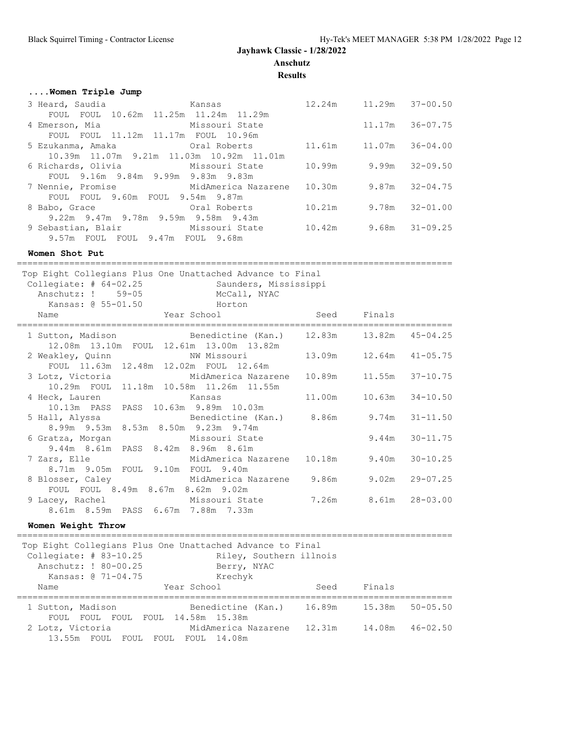# **....Women Triple Jump**

|      |                                  | 12.24m                                                                                                                                                                                                                                                                                                                                                                                                                                                                                               |                                                                      |                                                                                                                       |
|------|----------------------------------|------------------------------------------------------------------------------------------------------------------------------------------------------------------------------------------------------------------------------------------------------------------------------------------------------------------------------------------------------------------------------------------------------------------------------------------------------------------------------------------------------|----------------------------------------------------------------------|-----------------------------------------------------------------------------------------------------------------------|
| FOUL |                                  |                                                                                                                                                                                                                                                                                                                                                                                                                                                                                                      |                                                                      |                                                                                                                       |
|      |                                  |                                                                                                                                                                                                                                                                                                                                                                                                                                                                                                      |                                                                      |                                                                                                                       |
|      |                                  |                                                                                                                                                                                                                                                                                                                                                                                                                                                                                                      |                                                                      |                                                                                                                       |
|      |                                  | 11.61m                                                                                                                                                                                                                                                                                                                                                                                                                                                                                               |                                                                      |                                                                                                                       |
|      |                                  |                                                                                                                                                                                                                                                                                                                                                                                                                                                                                                      |                                                                      |                                                                                                                       |
|      |                                  |                                                                                                                                                                                                                                                                                                                                                                                                                                                                                                      |                                                                      |                                                                                                                       |
|      |                                  |                                                                                                                                                                                                                                                                                                                                                                                                                                                                                                      |                                                                      |                                                                                                                       |
|      |                                  |                                                                                                                                                                                                                                                                                                                                                                                                                                                                                                      |                                                                      |                                                                                                                       |
| FOUL |                                  |                                                                                                                                                                                                                                                                                                                                                                                                                                                                                                      |                                                                      |                                                                                                                       |
|      |                                  | 10.21m                                                                                                                                                                                                                                                                                                                                                                                                                                                                                               |                                                                      | 9.78m 32-01.00                                                                                                        |
|      |                                  |                                                                                                                                                                                                                                                                                                                                                                                                                                                                                                      |                                                                      |                                                                                                                       |
|      |                                  |                                                                                                                                                                                                                                                                                                                                                                                                                                                                                                      |                                                                      |                                                                                                                       |
|      |                                  |                                                                                                                                                                                                                                                                                                                                                                                                                                                                                                      |                                                                      |                                                                                                                       |
|      | 3 Heard, Saudia<br>8 Babo, Grace | <b>Example 2018</b> Kansas<br>FOUL 10.62m 11.25m 11.24m 11.29m<br>4 Emerson, Mia and Missouri State<br>FOUL FOUL 11.12m 11.17m FOUL 10.96m<br>5 Ezukanma, Amaka               Oral Roberts<br>10.39m 11.07m 9.21m 11.03m 10.92m 11.01m<br>6 Richards, Olivia Missouri State<br>FOUL 9.16m 9.84m 9.99m 9.83m 9.83m<br>FOUL 9.60m FOUL 9.54m 9.87m<br><b>Example 2018</b> Oral Roberts<br>9.22m 9.47m 9.78m 9.59m 9.58m 9.43m<br>9 Sebastian, Blair Missouri State<br>9.57m FOUL FOUL 9.47m FOUL 9.68m | 10.99m<br>7 Nennie, Promise and MidAmerica Nazarene 10.30m<br>10.42m | 11.29m 37-00.50<br>$11.17m$ 36-07.75<br>11.07m 36-04.00<br>$9.99m$ $32-09.50$<br>9.87m 32-04.75<br>9.68m $31 - 09.25$ |

**Women Shot Put**

===================================================================================

| Top Eight Collegians Plus One Unattached Advance to Final<br>Collegiate: $# 64-02.25$<br>Anschutz: ! 59-05<br>Kansas: @ 55-01.50 Horton | Saunders, Mississippi<br>McCall, NYAC                                                              |        |             |              |
|-----------------------------------------------------------------------------------------------------------------------------------------|----------------------------------------------------------------------------------------------------|--------|-------------|--------------|
| External School Year School<br>Name                                                                                                     |                                                                                                    |        | Seed Finals |              |
|                                                                                                                                         | 1 Sutton, Madison Benedictine (Kan.) 12.83m 13.82m<br>12.08m  13.10m  FOUL  12.61m  13.00m  13.82m |        |             | $45 - 04.25$ |
| 2 Weakley, Quinn                                                                                                                        | NW Missouri<br>FOUL 11.63m 12.48m 12.02m FOUL 12.64m                                               |        |             | $41 - 05.75$ |
|                                                                                                                                         | 3 Lotz, Victoria en MidAmerica Nazarene<br>10.29m FOUL 11.18m 10.58m 11.26m 11.55m                 | 10.89m | 11.55m      | $37 - 10.75$ |
| 4 Heck, Lauren<br>10.13m PASS PASS 10.63m 9.89m 10.03m                                                                                  | Kansas                                                                                             | 11.00m | 10.63m      | $34 - 10.50$ |
| 8.99m 9.53m 8.53m 8.50m 9.23m 9.74m                                                                                                     | 5 Hall, Alyssa (Benedictine (Kan.) 8.86m 9.74m                                                     |        |             | $31 - 11.50$ |
| 6 Gratza, Morgan<br>9.44m 8.61m PASS 8.42m 8.96m 8.61m                                                                                  | Missouri State                                                                                     |        | 9.44m       | $30 - 11.75$ |
| 8.71m 9.05m FOUL 9.10m FOUL 9.40m                                                                                                       | 7 Zars, Elle               MidAmerica Nazarene   10.18m       9.40m                                |        |             | $30 - 10.25$ |
| FOUL FOUL 8.49m 8.67m 8.62m 9.02m                                                                                                       | 8 Blosser, Caley  MidAmerica Nazarene 9.86m                                                        |        | 9.02m       | $29 - 07.25$ |
| 8.61m 8.59m PASS 6.67m 7.88m 7.33m                                                                                                      | 9 Lacey, Rachel               Missouri State       7.26m     8.61m                                 |        |             | $28 - 03.00$ |
| Women Weight Throw                                                                                                                      |                                                                                                    |        |             |              |
| Top Eight Collegians Plus One Unattached Advance to Final<br>Collegiate: $\#$ 83-10.25<br>Anschutz: ! 80-00.25<br>Kansas: @ 71-04.75    | Riley, Southern illnois<br>Berry, NYAC<br>Krechyk                                                  |        |             |              |

| Name              | Year School                       | Seed   | Finals |                 |
|-------------------|-----------------------------------|--------|--------|-----------------|
| 1 Sutton, Madison | Benedictine (Kan.)                | 16.89m |        | 15.38m 50-05.50 |
|                   | FOUL FOUL FOUL FOUL 14.58m 15.38m |        |        |                 |
| 2 Lotz, Victoria  | MidAmerica Nazarene 12.31m        |        |        | 14.08m 46-02.50 |
|                   | 13.55m FOUL FOUL FOUL FOUL 14.08m |        |        |                 |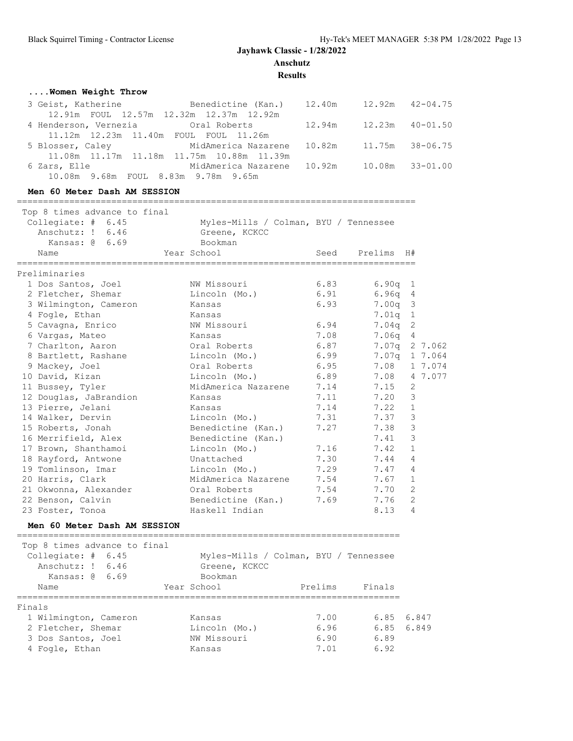**Results**

### **....Women Weight Throw**

| 3 Geist, Katherine           Benedictine (Kan.)   12.40m    |                            |  | $12.92m$ $42-04.75$ |
|-------------------------------------------------------------|----------------------------|--|---------------------|
| 12.91m FOUL 12.57m 12.32m 12.37m 12.92m                     |                            |  |                     |
| 4 Henderson, Vernezia 6 Cral Roberts 12.94m 12.23m 40-01.50 |                            |  |                     |
| 11.12m 12.23m 11.40m FOUL FOUL 11.26m                       |                            |  |                     |
| 5 Blosser, Caley 6 MidAmerica Nazarene 10.82m               |                            |  | 11.75m 38-06.75     |
| 11.08m  11.17m  11.18m  11.75m  10.88m  11.39m              |                            |  |                     |
| 6 Zars, Elle                                                | MidAmerica Nazarene 10.92m |  | 10.08m 33-01.00     |
| 10.08m 9.68m FOUL 8.83m 9.78m 9.65m                         |                            |  |                     |

#### **Men 60 Meter Dash AM SESSION**

============================================================================ Top 8 times advance to final Collegiate: # 6.45 Myles-Mills / Colman, BYU / Tennessee Anschutz: ! 6.46 Greene, KCKCC Kansas: @ 6.69 Bookman Name Year School Seed Prelims H# ============================================================================ Preliminaries 1 Dos Santos, Joel NW Missouri 6.83 6.90q 1 2 Fletcher, Shemar Lincoln (Mo.) 6.91 6.96q 4 3 Wilmington, Cameron Kansas 6.93 7.00q 3 4 Fogle, Ethan Kansas 7.01q 1 5 Cavagna, Enrico NW Missouri 6.94 7.04q 2 6 Vargas, Mateo Kansas 7.08 7.06q 4 7 Charlton, Aaron Oral Roberts 6.87 7.07q 2 7.062 8 Bartlett, Rashane Lincoln (Mo.) 6.99 7.07q 1 7.064 9 Mackey, Joel Oral Roberts 6.95 7.08 1 7.074 10 David, Kizan Lincoln (Mo.) 6.89 7.08 4 7.077 11 Bussey, Tyler MidAmerica Nazarene 7.14 7.15 2 12 Douglas, JaBrandion Kansas 7.11 7.20 3 13 Pierre, Jelani Kansas 7.14 7.22 1 14 Walker, Dervin Lincoln (Mo.) 7.31 7.37 3 15 Roberts, Jonah Benedictine (Kan.) 7.27 7.38 3 16 Merrifield, Alex Benedictine (Kan.) 7.41 3 17 Brown, Shanthamoi Lincoln (Mo.) 7.16 7.42 1 18 Rayford, Antwone Unattached 7.30 7.44 4 19 Tomlinson, Imar Lincoln (Mo.) 7.29 7.47 4 20 Harris, Clark MidAmerica Nazarene 7.54 7.67 1 21 Okwonna, Alexander Oral Roberts 7.54 7.70 2 22 Benson, Calvin Benedictine (Kan.) 7.69 7.76 2 23 Foster, Tonoa Haskell Indian 8.13 4

#### **Men 60 Meter Dash AM SESSION**

========================================================================= Top 8 times advance to final Collegiate: # 6.45 Myles-Mills / Colman, BYU / Tennessee

| COTTEdigne: # 0.40    | Myles-Mills / Colman, BiU / Tennessee |         |        |            |
|-----------------------|---------------------------------------|---------|--------|------------|
| Anschutz: ! 6.46      | Greene, KCKCC                         |         |        |            |
| Kansas: $\alpha$ 6.69 | Bookman                               |         |        |            |
| Name                  | Year School                           | Prelims | Finals |            |
| Finals                |                                       |         |        |            |
| 1 Wilmington, Cameron | Kansas                                | 7.00    |        | 6.85 6.847 |
| 2 Fletcher, Shemar    | Lincoln (Mo.)                         | 6.96    |        | 6.85 6.849 |
| 3 Dos Santos, Joel    | NW Missouri                           | 6.90    | 6.89   |            |
| 4 Fogle, Ethan        | Kansas                                | 7.01    | 6.92   |            |
|                       |                                       |         |        |            |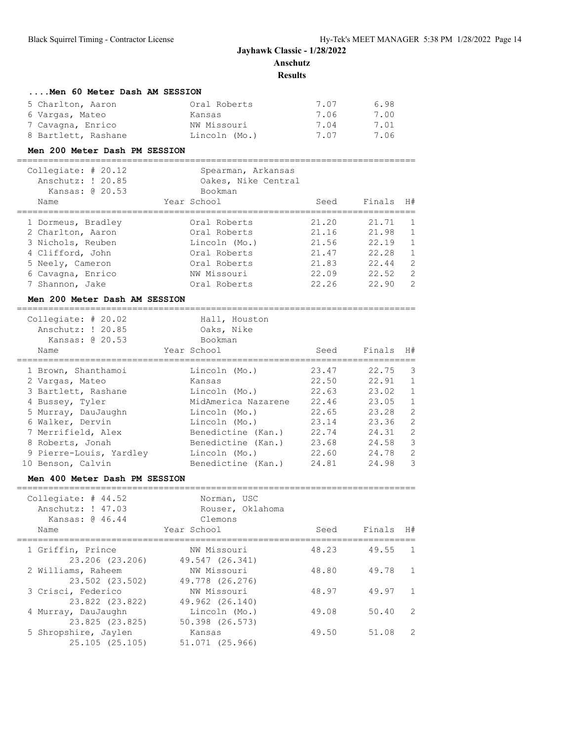**Results**

| Men 60 Meter Dash AM SESSION |               |      |      |
|------------------------------|---------------|------|------|
| 5 Charlton, Aaron            | Oral Roberts  | 7.07 | 6.98 |
| 6 Vargas, Mateo              | Kansas        | 7.06 | 7.00 |
| 7 Cavagna, Enrico            | NW Missouri   | 7.04 | 7.01 |
| 8 Bartlett, Rashane          | Lincoln (Mo.) | 7.07 | 7.06 |

#### **Men 200 Meter Dash PM SESSION**

| Collegiate: $\#$ 20.12<br>Anschutz: ! 20.85<br>Kansas: @ 20.53<br>Name | Spearman, Arkansas<br>Oakes, Nike Central<br>Bookman<br>Year School | Seed  | Finals | H#            |
|------------------------------------------------------------------------|---------------------------------------------------------------------|-------|--------|---------------|
| 1 Dormeus, Bradley                                                     | Oral Roberts                                                        | 21.20 | 21.71  | $\mathbf{1}$  |
| 2 Charlton, Aaron                                                      | Oral Roberts                                                        | 21.16 | 21.98  | $\mathbf{1}$  |
| 3 Nichols, Reuben                                                      | Lincoln (Mo.)                                                       | 21.56 | 22.19  | $\mathbf{1}$  |
| 4 Clifford, John                                                       | Oral Roberts                                                        | 21.47 | 22.28  | $\mathbf{1}$  |
| 5 Neely, Cameron                                                       | Oral Roberts                                                        | 21.83 | 22.44  | 2             |
| 6 Cavagna, Enrico                                                      | NW Missouri                                                         | 22.09 | 22.52  | $\mathcal{L}$ |
| 7 Shannon, Jake                                                        | Oral Roberts                                                        | 22.26 | 22.90  | 2             |

#### **Men 200 Meter Dash AM SESSION**

| Collegiate: $\#$ 20.02<br>Anschutz: ! 20.85<br>Kansas: @ 20.53<br>Name | Hall, Houston<br>Oaks, Nike<br>Bookman<br>Year School | Seed  | Finals | H#             |
|------------------------------------------------------------------------|-------------------------------------------------------|-------|--------|----------------|
| 1 Brown, Shanthamoi                                                    | Lincoln (Mo.)                                         | 23.47 | 22.75  | 3              |
| 2 Vargas, Mateo                                                        | Kansas                                                | 22.50 | 22.91  | $\overline{1}$ |
| 3 Bartlett, Rashane                                                    | Lincoln (Mo.)                                         | 22.63 | 23.02  | $\mathbf{1}$   |
| 4 Bussey, Tyler                                                        | MidAmerica Nazarene                                   | 22.46 | 23.05  | 1              |
| 5 Murray, DauJaughn                                                    | Lincoln (Mo.)                                         | 22.65 | 23.28  | 2              |
| 6 Walker, Dervin                                                       | Lincoln (Mo.)                                         | 23.14 | 23.36  | 2              |
| 7 Merrifield, Alex                                                     | Benedictine (Kan.)                                    | 22.74 | 24.31  | 2              |
| 8 Roberts, Jonah                                                       | Benedictine (Kan.)                                    | 23.68 | 24.58  | 3              |
| 9 Pierre-Louis, Yardley                                                | Lincoln (Mo.)                                         | 22.60 | 24.78  | 2              |
| 10 Benson, Calvin                                                      | Benedictine (Kan.)                                    | 24.81 | 24.98  | 3              |

### **Men 400 Meter Dash PM SESSION**

| Collegiate: $#$ 44.52<br>Anschutz: ! 47.03<br>Kansas: @ 46.44 | Norman, USC<br>Rouser, Oklahoma<br>Clemons |       |                |
|---------------------------------------------------------------|--------------------------------------------|-------|----------------|
| Name                                                          | Year School                                | Seed  | Finals H#      |
| 1 Griffin, Prince                                             | NW Missouri                                | 48.23 | 49.55          |
| 23.206 (23.206)                                               | 49.547 (26.341)                            |       | $\overline{1}$ |
| 2 Williams, Raheem                                            | NW Missouri                                | 48.80 | 49.78          |
| 23.502 (23.502)                                               | 49.778 (26.276)                            |       | $\overline{1}$ |
| 3 Crisci, Federico                                            | NW Missouri                                | 48.97 | 49.97          |
| 23.822 (23.822)                                               | 49.962 (26.140)                            |       | $\overline{1}$ |
| 4 Murray, DauJaughn                                           | Lincoln (Mo.)                              | 49.08 | $\mathcal{L}$  |
| 23.825 (23.825)                                               | 50.398 (26.573)                            |       | 50.40          |
| 5 Shropshire, Jaylen                                          | Kansas                                     | 49.50 | 51.08          |
| 25.105(25.105)                                                | 51.071 (25.966)                            |       | 2              |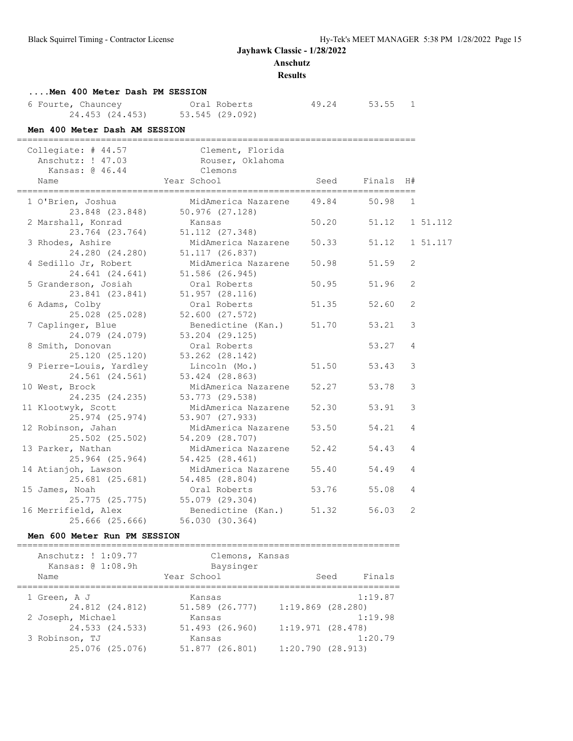### **Anschutz**

#### **Results**

# **....Men 400 Meter Dash PM SESSION** 6 Fourte, Chauncey Oral Roberts 49.24 53.55 1

| o rourte, chauncey | And Roberts     |
|--------------------|-----------------|
| 24.453 (24.453)    | 53.545 (29.092) |

### **Men 400 Meter Dash AM SESSION**

| Name | -----------------------------------<br>Anschutz: ! 47.03<br>Kansas: @ 46.44 | Collegiate: # 44.57 Clement, Florida<br>Rouser, Oklahoma<br>Clemons<br>Year School | Seed  | ---------------------------------<br>Finals<br>________________________________ | H#             |          |
|------|-----------------------------------------------------------------------------|------------------------------------------------------------------------------------|-------|---------------------------------------------------------------------------------|----------------|----------|
|      | 1 O'Brien, Joshua<br>23.848 (23.848)                                        | MidAmerica Nazarene<br>$50.976$ $(27.128)$                                         | 49.84 | 50.98                                                                           | $\mathbf{1}$   |          |
|      | 2 Marshall, Konrad<br>23.764 (23.764)                                       | Kansas<br>51.112 (27.348)                                                          | 50.20 | 51.12                                                                           |                | 1 51.112 |
|      | 3 Rhodes, Ashire<br>24.280 (24.280)                                         | MidAmerica Nazarene<br>51.117 (26.837)                                             | 50.33 | 51.12                                                                           |                | 1 51.117 |
|      | 4 Sedillo Jr, Robert<br>24.641 (24.641)                                     | MidAmerica Nazarene<br>51.586 (26.945)                                             | 50.98 | 51.59                                                                           | 2              |          |
|      | 5 Granderson, Josiah<br>23.841 (23.841)                                     | Oral Roberts<br>$51.957$ $(28.116)$                                                | 50.95 | 51.96                                                                           | $\overline{c}$ |          |
|      | 6 Adams, Colby<br>$25.028$ $(25.028)$                                       | Oral Roberts<br>52.600 (27.572)                                                    | 51.35 | 52.60                                                                           | $\overline{c}$ |          |
|      | 7 Caplinger, Blue<br>24.079 (24.079)                                        | Benedictine (Kan.)<br>$53.204$ $(29.125)$                                          | 51.70 | 53.21                                                                           | 3              |          |
|      | 8 Smith, Donovan<br>25.120 (25.120)                                         | Oral Roberts<br>53.262 (28.142)                                                    |       | 53.27                                                                           | $\overline{4}$ |          |
|      | 9 Pierre-Louis, Yardley<br>24.561 (24.561)                                  | Lincoln (Mo.)<br>53.424 (28.863)                                                   | 51.50 | 53.43                                                                           | 3              |          |
|      | 10 West, Brock<br>24.235 (24.235)                                           | MidAmerica Nazarene<br>53.773 (29.538)                                             | 52.27 | 53.78                                                                           | 3              |          |
|      | 11 Klootwyk, Scott<br>25.974 (25.974)                                       | MidAmerica Nazarene<br>53.907 (27.933)                                             | 52.30 | 53.91                                                                           | 3              |          |
|      | 12 Robinson, Jahan<br>25.502 (25.502)                                       | MidAmerica Nazarene<br>54.209 (28.707)                                             | 53.50 | 54.21                                                                           | $\overline{4}$ |          |
|      | 13 Parker, Nathan<br>25.964 (25.964)                                        | MidAmerica Nazarene<br>54.425 (28.461)                                             | 52.42 | 54.43                                                                           | $\overline{4}$ |          |
|      | 14 Atianjoh, Lawson<br>25.681 (25.681)                                      | MidAmerica Nazarene<br>54.485 (28.804)                                             | 55.40 | 54.49                                                                           | $\overline{4}$ |          |
|      | 15 James, Noah<br>25.775 (25.775)                                           | Oral Roberts<br>55.079 (29.304)                                                    | 53.76 | 55.08                                                                           | $\overline{4}$ |          |
|      | 16 Merrifield, Alex<br>25.666 (25.666)                                      | Benedictine (Kan.)<br>56.030 (30.364)                                              | 51.32 | 56.03                                                                           | 2              |          |

### **Men 600 Meter Run PM SESSION**

| Anschutz: ! 1:09.77<br>Kansas: @ 1:08.9h<br>Name | Clemons, Kansas<br>Baysinger<br>Year School |                       | Finals<br>Seed |
|--------------------------------------------------|---------------------------------------------|-----------------------|----------------|
| 1 Green, A J                                     | Kansas                                      |                       | 1:19.87        |
| 24.812 (24.812)                                  | 51.589 (26.777)                             | $1:19.869$ $(28.280)$ |                |
| 2 Joseph, Michael                                | Kansas                                      |                       | 1:19.98        |
| 24.533 (24.533)                                  | 51.493 (26.960)                             | 1:19.971(28.478)      |                |
| 3 Robinson, TJ                                   | Kansas                                      |                       | 1:20.79        |
| 25.076 (25.076)                                  | 51.877 (26.801)                             | 1:20.790(28.913)      |                |
|                                                  |                                             |                       |                |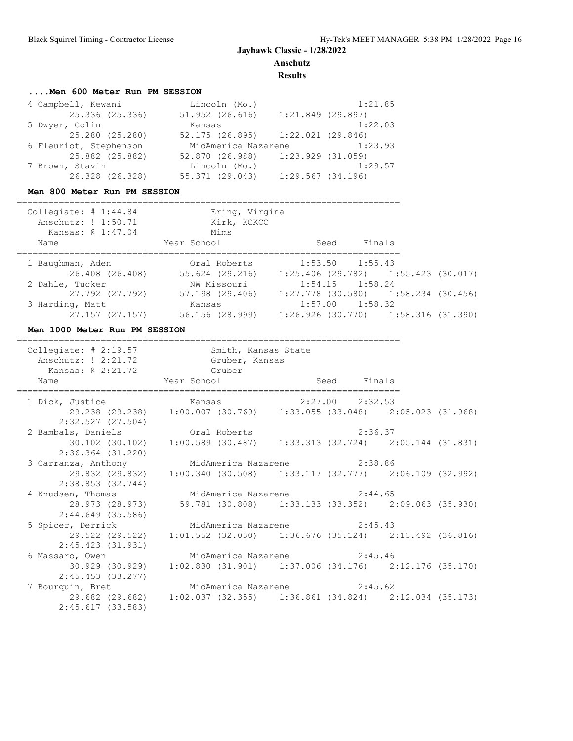**Anschutz**

**Results**

### **....Men 600 Meter Run PM SESSION**

| 4 Campbell, Kewani     | Lincoln (Mo.)                         |                     | 1:21.85 |
|------------------------|---------------------------------------|---------------------|---------|
| 25.336 (25.336)        | 51.952 (26.616)                       | $1:21.849$ (29.897) |         |
| 5 Dwyer, Colin         | Kansas                                |                     | 1:22.03 |
| 25.280 (25.280)        | $52.175$ (26.895) $1:22.021$ (29.846) |                     |         |
| 6 Fleuriot, Stephenson | MidAmerica Nazarene                   |                     | 1:23.93 |
| 25.882 (25.882)        | 52.870 (26.988) 1:23.929 (31.059)     |                     |         |
| 7 Brown, Stavin        | Lincoln (Mo.)                         |                     | 1:29.57 |
| 26.328 (26.328)        | 55.371 (29.043)                       | 1:29.567(34.196)    |         |

### **Men 800 Meter Run PM SESSION**

| Collegiate: $\#$ 1:44.84<br>Anschutz: ! 1:50.71<br>Kansas: @ 1:47.04<br>Name | Ering, Virgina<br>Kirk, KCKCC<br>Mims<br>Year School | Finals<br>Seed                          |  |
|------------------------------------------------------------------------------|------------------------------------------------------|-----------------------------------------|--|
| 1 Baughman, Aden                                                             | Oral Roberts                                         | $1:53.50$ $1:55.43$                     |  |
| 26.408 (26.408)                                                              | 55.624 (29.216)                                      | $1:25.406$ (29.782) $1:55.423$ (30.017) |  |
| 2 Dahle, Tucker                                                              | NW Missouri                                          | $1:54.15$ $1:58.24$                     |  |
| 27.792 (27.792)                                                              | 57.198 (29.406)                                      | $1:27.778$ (30.580) 1:58.234 (30.456)   |  |
| 3 Harding, Matt                                                              | Kansas                                               | $1:57.00$ $1:58.32$                     |  |
| 27.157 (27.157)                                                              | 56.156 (28.999)                                      | $1:26.926$ (30.770) $1:58.316$ (31.390) |  |

### **Men 1000 Meter Run PM SESSION**

| Collegiate: # 2:19.57 Smith, Kansas State<br>Anschutz: ! 2:21.72 Gruber, Kansas<br>Kansas: @ 2:21.72 Gruber |                                                                       |  |  |
|-------------------------------------------------------------------------------------------------------------|-----------------------------------------------------------------------|--|--|
| Name Year School Seed Finals                                                                                |                                                                       |  |  |
| 1 Dick, Justice 6 (29.238) (29.238) 1:00.007 (30.769) 1:33.055 (33.048) 2:05.023 (31.968)                   |                                                                       |  |  |
| 2:32.527 (27.504)                                                                                           |                                                                       |  |  |
| 2 Bambals, Daniels Cral Roberts 2:36.37                                                                     |                                                                       |  |  |
| 2:36.364 (31.220)                                                                                           | 30.102 (30.102) 1:00.589 (30.487) 1:33.313 (32.724) 2:05.144 (31.831) |  |  |
| 3 Carranza, Anthony MidAmerica Nazarene 2:38.86                                                             |                                                                       |  |  |
| 2:38.853 (32.744)                                                                                           | 29.832 (29.832) 1:00.340 (30.508) 1:33.117 (32.777) 2:06.109 (32.992) |  |  |
| 4 Knudsen, Thomas MidAmerica Nazarene 2:44.65                                                               |                                                                       |  |  |
| 2:44.649 (35.586)                                                                                           | 28.973 (28.973) 59.781 (30.808) 1:33.133 (33.352) 2:09.063 (35.930)   |  |  |
| 5 Spicer, Derrick MidAmerica Nazarene 2:45.43                                                               |                                                                       |  |  |
| 2:45.423 (31.931)                                                                                           | 29.522 (29.522) 1:01.552 (32.030) 1:36.676 (35.124) 2:13.492 (36.816) |  |  |
| 6 Massaro, Owen MidAmerica Nazarene 2:45.46                                                                 |                                                                       |  |  |
| $30.929$ (30.929) $1:02.830$ (31.901) $1:37.006$ (34.176) $2:12.176$ (35.170)<br>2:45.453 (33.277)          |                                                                       |  |  |
| 7 Bourquin, Bret 62 MidAmerica Nazarene 2:45.62                                                             |                                                                       |  |  |
| 2:45.617(33.583)                                                                                            | 29.682 (29.682) 1:02.037 (32.355) 1:36.861 (34.824) 2:12.034 (35.173) |  |  |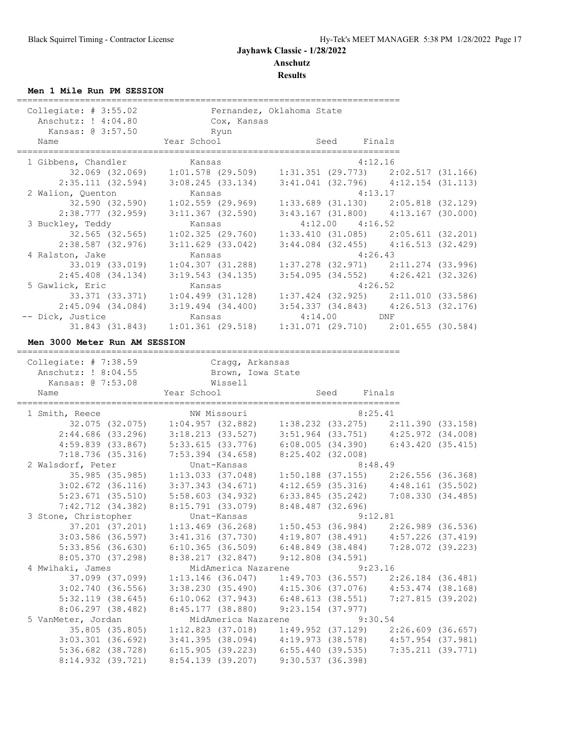### **Men 1 Mile Run PM SESSION**

| Year School<br>Finals<br>Name<br>Seed<br>1 Gibbens, Chandler<br>4:12.16<br>Kansas<br>$2:35.111 (32.594) 3:08.245 (33.134) 3:41.041 (32.796) 4:12.154 (31.113)$<br>2 Walion, Quenton<br>Kansas<br>4:13.17<br>1, Quenton Kansas<br>32.590 (32.590) 1:02.559 (29.969)<br>38.777 (38.958) - 3.11.367 (38.588)<br>2:38.777 (32.959)<br>$3:11.367$ (32.590)<br>3 Buckley, Teddy<br>$4:12.00$ $4:16.52$<br>Kansas<br>32.565 (32.565)<br>$2:38.587$ (32.976)<br>$3:11.629$ (33.042)<br>$3:44.084$ (32.455) $4:16.513$ (32.429)<br>4:26.43<br>4 Ralston, Jake<br>Kansas<br>33.019 (33.019)<br>$1:04.307$ (31.288)<br>$2:45.408$ $(34.134)$<br>3:19.543(34.135)<br>4:26.52<br>5 Gawlick, Eric<br>Kansas<br>$1:04.499$ $(31.128)$<br>33.371 (33.371)<br>2:45.094 (34.084) 3:19.494 (34.400) 3:54.337 (34.843) 4:26.513 (32.176)<br>$4:14.00$ DNF<br>-- Dick, Justice<br>Kansas<br>Men 3000 Meter Run AM SESSION<br>Collegiate: $# 7:38.59$<br>Cragg, Arkansas<br>Anschutz: ! 8:04.55<br>Brown, Iowa State<br>Kansas: @ 7:53.08<br>Wissell<br>Year School<br>Seed Finals<br>Name<br>NW Missouri<br>8:25.41<br>1 Smith, Reece<br>8:48.49<br>2 Walsdorf, Peter<br>Unat-Kansas<br>35.985 (35.985)<br>$1:13.033$ (37.048)<br>$5:23.671$ (35.510)<br>5:58.603 (34.932)<br>6:33.845 (35.242) 7:08.330 (34.485)<br>7:42.712 (34.382)<br>8:15.791 (33.079)<br>8:48.487 (32.696)<br>3 Stone, Christopher<br>9:12.81<br>Unat-Kansas<br>$5:33.856$ (36.630)<br>$6:10.365$ (36.509)<br>8:05.370(37.298)<br>8:38.217 (32.847)<br>$9:12.808$ (34.591)<br>4 Mwihaki, James<br>MidAmerica Nazarene<br>9:23.16<br>37.099 (37.099) 1:13.146 (36.047)<br>3:02.740(36.556)<br>6:48.613(38.551)<br>5:32.119(38.645)<br>$6:10.062$ (37.943)<br>7:27.815(39.202)<br>8:06.297(38.482)<br>8:45.177 (38.880)<br>$9:23.154$ (37.977)<br>5 VanMeter, Jordan<br>MidAmerica Nazarene<br>9:30.54<br>35.805 (35.805) 1:12.823 (37.018)<br>5:36.682 (38.728) 6:15.905 (39.223) 6:55.440 (39.535)<br>7:35.211 (39.771)<br>8:14.932 (39.721)<br>8:54.139 (39.207)<br>9:30.537(36.398) | Collegiate: $# 3:55.02$<br>Anschutz: ! 4:04.80 | Fernandez, Oklahoma State<br>Cox, Kansas |  |  |
|----------------------------------------------------------------------------------------------------------------------------------------------------------------------------------------------------------------------------------------------------------------------------------------------------------------------------------------------------------------------------------------------------------------------------------------------------------------------------------------------------------------------------------------------------------------------------------------------------------------------------------------------------------------------------------------------------------------------------------------------------------------------------------------------------------------------------------------------------------------------------------------------------------------------------------------------------------------------------------------------------------------------------------------------------------------------------------------------------------------------------------------------------------------------------------------------------------------------------------------------------------------------------------------------------------------------------------------------------------------------------------------------------------------------------------------------------------------------------------------------------------------------------------------------------------------------------------------------------------------------------------------------------------------------------------------------------------------------------------------------------------------------------------------------------------------------------------------------------------------------------------------------------------------------------------------------------------------------------------------------------------------------------------------|------------------------------------------------|------------------------------------------|--|--|
|                                                                                                                                                                                                                                                                                                                                                                                                                                                                                                                                                                                                                                                                                                                                                                                                                                                                                                                                                                                                                                                                                                                                                                                                                                                                                                                                                                                                                                                                                                                                                                                                                                                                                                                                                                                                                                                                                                                                                                                                                                        | Kansas: @ 3:57.50                              | Ryun                                     |  |  |
| $32.069$ (32.069) 1:01.578 (29.509) 1:31.351 (29.773) 2:02.517 (31.166)<br>$\begin{array}{cccc} 1:33.689 & (31.130) & 2:05.818 & (32.129) \\ 3:43.167 & (31.800) & 4:13.167 & (30.000) \end{array}$<br>$1:02.325$ (29.760) $1:33.410$ (31.085) $2:05.611$ (32.201)<br>$\begin{array}{cccc} 1:37.278 & (32.971) & 2:11.274 & (33.996) \\ 3:54.095 & (34.552) & 4:26.421 & (32.326) \end{array}$<br>$1:37.424$ (32.925) $2:11.010$ (33.586)<br>31.843 (31.843) 1:01.361 (29.518) 1:31.071 (29.710) 2:01.655 (30.584)<br>32.075 (32.075) 1:04.957 (32.882) 1:38.232 (33.275) 2:11.390 (33.158)<br>$\begin{array}{cccc} 2:44.686 & (33.296) & 3:18.213 & (33.527) & 3:51.964 & (33.751) & 4:25.972 & (34.008) \\ 4:59.839 & (33.867) & 5:33.615 & (33.776) & 6:08.005 & (34.390) & 6:43.420 & (35.415) \\ 7:18.736 & (35.316) & 7:53.394 & (34.658) & 8:25.402 & (32.008) \end{array}$<br>$1:50.188$ (37.155) $2:26.556$ (36.368)<br>$3:02.672$ (36.116) $3:37.343$ (34.671) $4:12.659$ (35.316) $4:48.161$ (35.502)<br>$37.201$ (37.201) 1:13.469 (36.268) 1:50.453 (36.984) 2:26.989 (36.536)<br>3:03.586 (36.597) 3:41.316 (37.730) 4:19.807 (38.491) 4:57.226 (37.419)<br>$6:48.849$ (38.484) 7:28.072 (39.223)<br>$1:49.703$ (36.557) $2:26.184$ (36.481)<br>$3:38.230$ (35.490) $4:15.306$ (37.076) $4:53.474$ (38.168)<br>$1:49.952$ (37.129) $2:26.609$ (36.657)<br>$3:03.301$ (36.692) $3:41.395$ (38.094) $4:19.973$ (38.578) $4:57.954$ (37.981)                                                                                                                                                                                                                                                                                                                                                                                                                                                                                                                                                                                |                                                |                                          |  |  |
|                                                                                                                                                                                                                                                                                                                                                                                                                                                                                                                                                                                                                                                                                                                                                                                                                                                                                                                                                                                                                                                                                                                                                                                                                                                                                                                                                                                                                                                                                                                                                                                                                                                                                                                                                                                                                                                                                                                                                                                                                                        |                                                |                                          |  |  |
|                                                                                                                                                                                                                                                                                                                                                                                                                                                                                                                                                                                                                                                                                                                                                                                                                                                                                                                                                                                                                                                                                                                                                                                                                                                                                                                                                                                                                                                                                                                                                                                                                                                                                                                                                                                                                                                                                                                                                                                                                                        |                                                |                                          |  |  |
|                                                                                                                                                                                                                                                                                                                                                                                                                                                                                                                                                                                                                                                                                                                                                                                                                                                                                                                                                                                                                                                                                                                                                                                                                                                                                                                                                                                                                                                                                                                                                                                                                                                                                                                                                                                                                                                                                                                                                                                                                                        |                                                |                                          |  |  |
|                                                                                                                                                                                                                                                                                                                                                                                                                                                                                                                                                                                                                                                                                                                                                                                                                                                                                                                                                                                                                                                                                                                                                                                                                                                                                                                                                                                                                                                                                                                                                                                                                                                                                                                                                                                                                                                                                                                                                                                                                                        |                                                |                                          |  |  |
|                                                                                                                                                                                                                                                                                                                                                                                                                                                                                                                                                                                                                                                                                                                                                                                                                                                                                                                                                                                                                                                                                                                                                                                                                                                                                                                                                                                                                                                                                                                                                                                                                                                                                                                                                                                                                                                                                                                                                                                                                                        |                                                |                                          |  |  |
|                                                                                                                                                                                                                                                                                                                                                                                                                                                                                                                                                                                                                                                                                                                                                                                                                                                                                                                                                                                                                                                                                                                                                                                                                                                                                                                                                                                                                                                                                                                                                                                                                                                                                                                                                                                                                                                                                                                                                                                                                                        |                                                |                                          |  |  |
|                                                                                                                                                                                                                                                                                                                                                                                                                                                                                                                                                                                                                                                                                                                                                                                                                                                                                                                                                                                                                                                                                                                                                                                                                                                                                                                                                                                                                                                                                                                                                                                                                                                                                                                                                                                                                                                                                                                                                                                                                                        |                                                |                                          |  |  |
|                                                                                                                                                                                                                                                                                                                                                                                                                                                                                                                                                                                                                                                                                                                                                                                                                                                                                                                                                                                                                                                                                                                                                                                                                                                                                                                                                                                                                                                                                                                                                                                                                                                                                                                                                                                                                                                                                                                                                                                                                                        |                                                |                                          |  |  |
|                                                                                                                                                                                                                                                                                                                                                                                                                                                                                                                                                                                                                                                                                                                                                                                                                                                                                                                                                                                                                                                                                                                                                                                                                                                                                                                                                                                                                                                                                                                                                                                                                                                                                                                                                                                                                                                                                                                                                                                                                                        |                                                |                                          |  |  |
|                                                                                                                                                                                                                                                                                                                                                                                                                                                                                                                                                                                                                                                                                                                                                                                                                                                                                                                                                                                                                                                                                                                                                                                                                                                                                                                                                                                                                                                                                                                                                                                                                                                                                                                                                                                                                                                                                                                                                                                                                                        |                                                |                                          |  |  |
|                                                                                                                                                                                                                                                                                                                                                                                                                                                                                                                                                                                                                                                                                                                                                                                                                                                                                                                                                                                                                                                                                                                                                                                                                                                                                                                                                                                                                                                                                                                                                                                                                                                                                                                                                                                                                                                                                                                                                                                                                                        |                                                |                                          |  |  |
|                                                                                                                                                                                                                                                                                                                                                                                                                                                                                                                                                                                                                                                                                                                                                                                                                                                                                                                                                                                                                                                                                                                                                                                                                                                                                                                                                                                                                                                                                                                                                                                                                                                                                                                                                                                                                                                                                                                                                                                                                                        |                                                |                                          |  |  |
|                                                                                                                                                                                                                                                                                                                                                                                                                                                                                                                                                                                                                                                                                                                                                                                                                                                                                                                                                                                                                                                                                                                                                                                                                                                                                                                                                                                                                                                                                                                                                                                                                                                                                                                                                                                                                                                                                                                                                                                                                                        |                                                |                                          |  |  |
|                                                                                                                                                                                                                                                                                                                                                                                                                                                                                                                                                                                                                                                                                                                                                                                                                                                                                                                                                                                                                                                                                                                                                                                                                                                                                                                                                                                                                                                                                                                                                                                                                                                                                                                                                                                                                                                                                                                                                                                                                                        |                                                |                                          |  |  |
|                                                                                                                                                                                                                                                                                                                                                                                                                                                                                                                                                                                                                                                                                                                                                                                                                                                                                                                                                                                                                                                                                                                                                                                                                                                                                                                                                                                                                                                                                                                                                                                                                                                                                                                                                                                                                                                                                                                                                                                                                                        |                                                |                                          |  |  |
|                                                                                                                                                                                                                                                                                                                                                                                                                                                                                                                                                                                                                                                                                                                                                                                                                                                                                                                                                                                                                                                                                                                                                                                                                                                                                                                                                                                                                                                                                                                                                                                                                                                                                                                                                                                                                                                                                                                                                                                                                                        |                                                |                                          |  |  |
|                                                                                                                                                                                                                                                                                                                                                                                                                                                                                                                                                                                                                                                                                                                                                                                                                                                                                                                                                                                                                                                                                                                                                                                                                                                                                                                                                                                                                                                                                                                                                                                                                                                                                                                                                                                                                                                                                                                                                                                                                                        |                                                |                                          |  |  |
|                                                                                                                                                                                                                                                                                                                                                                                                                                                                                                                                                                                                                                                                                                                                                                                                                                                                                                                                                                                                                                                                                                                                                                                                                                                                                                                                                                                                                                                                                                                                                                                                                                                                                                                                                                                                                                                                                                                                                                                                                                        |                                                |                                          |  |  |
|                                                                                                                                                                                                                                                                                                                                                                                                                                                                                                                                                                                                                                                                                                                                                                                                                                                                                                                                                                                                                                                                                                                                                                                                                                                                                                                                                                                                                                                                                                                                                                                                                                                                                                                                                                                                                                                                                                                                                                                                                                        |                                                |                                          |  |  |
|                                                                                                                                                                                                                                                                                                                                                                                                                                                                                                                                                                                                                                                                                                                                                                                                                                                                                                                                                                                                                                                                                                                                                                                                                                                                                                                                                                                                                                                                                                                                                                                                                                                                                                                                                                                                                                                                                                                                                                                                                                        |                                                |                                          |  |  |
|                                                                                                                                                                                                                                                                                                                                                                                                                                                                                                                                                                                                                                                                                                                                                                                                                                                                                                                                                                                                                                                                                                                                                                                                                                                                                                                                                                                                                                                                                                                                                                                                                                                                                                                                                                                                                                                                                                                                                                                                                                        |                                                |                                          |  |  |
|                                                                                                                                                                                                                                                                                                                                                                                                                                                                                                                                                                                                                                                                                                                                                                                                                                                                                                                                                                                                                                                                                                                                                                                                                                                                                                                                                                                                                                                                                                                                                                                                                                                                                                                                                                                                                                                                                                                                                                                                                                        |                                                |                                          |  |  |
|                                                                                                                                                                                                                                                                                                                                                                                                                                                                                                                                                                                                                                                                                                                                                                                                                                                                                                                                                                                                                                                                                                                                                                                                                                                                                                                                                                                                                                                                                                                                                                                                                                                                                                                                                                                                                                                                                                                                                                                                                                        |                                                |                                          |  |  |
|                                                                                                                                                                                                                                                                                                                                                                                                                                                                                                                                                                                                                                                                                                                                                                                                                                                                                                                                                                                                                                                                                                                                                                                                                                                                                                                                                                                                                                                                                                                                                                                                                                                                                                                                                                                                                                                                                                                                                                                                                                        |                                                |                                          |  |  |
|                                                                                                                                                                                                                                                                                                                                                                                                                                                                                                                                                                                                                                                                                                                                                                                                                                                                                                                                                                                                                                                                                                                                                                                                                                                                                                                                                                                                                                                                                                                                                                                                                                                                                                                                                                                                                                                                                                                                                                                                                                        |                                                |                                          |  |  |
|                                                                                                                                                                                                                                                                                                                                                                                                                                                                                                                                                                                                                                                                                                                                                                                                                                                                                                                                                                                                                                                                                                                                                                                                                                                                                                                                                                                                                                                                                                                                                                                                                                                                                                                                                                                                                                                                                                                                                                                                                                        |                                                |                                          |  |  |
|                                                                                                                                                                                                                                                                                                                                                                                                                                                                                                                                                                                                                                                                                                                                                                                                                                                                                                                                                                                                                                                                                                                                                                                                                                                                                                                                                                                                                                                                                                                                                                                                                                                                                                                                                                                                                                                                                                                                                                                                                                        |                                                |                                          |  |  |
|                                                                                                                                                                                                                                                                                                                                                                                                                                                                                                                                                                                                                                                                                                                                                                                                                                                                                                                                                                                                                                                                                                                                                                                                                                                                                                                                                                                                                                                                                                                                                                                                                                                                                                                                                                                                                                                                                                                                                                                                                                        |                                                |                                          |  |  |
|                                                                                                                                                                                                                                                                                                                                                                                                                                                                                                                                                                                                                                                                                                                                                                                                                                                                                                                                                                                                                                                                                                                                                                                                                                                                                                                                                                                                                                                                                                                                                                                                                                                                                                                                                                                                                                                                                                                                                                                                                                        |                                                |                                          |  |  |
|                                                                                                                                                                                                                                                                                                                                                                                                                                                                                                                                                                                                                                                                                                                                                                                                                                                                                                                                                                                                                                                                                                                                                                                                                                                                                                                                                                                                                                                                                                                                                                                                                                                                                                                                                                                                                                                                                                                                                                                                                                        |                                                |                                          |  |  |
|                                                                                                                                                                                                                                                                                                                                                                                                                                                                                                                                                                                                                                                                                                                                                                                                                                                                                                                                                                                                                                                                                                                                                                                                                                                                                                                                                                                                                                                                                                                                                                                                                                                                                                                                                                                                                                                                                                                                                                                                                                        |                                                |                                          |  |  |
|                                                                                                                                                                                                                                                                                                                                                                                                                                                                                                                                                                                                                                                                                                                                                                                                                                                                                                                                                                                                                                                                                                                                                                                                                                                                                                                                                                                                                                                                                                                                                                                                                                                                                                                                                                                                                                                                                                                                                                                                                                        |                                                |                                          |  |  |
|                                                                                                                                                                                                                                                                                                                                                                                                                                                                                                                                                                                                                                                                                                                                                                                                                                                                                                                                                                                                                                                                                                                                                                                                                                                                                                                                                                                                                                                                                                                                                                                                                                                                                                                                                                                                                                                                                                                                                                                                                                        |                                                |                                          |  |  |
|                                                                                                                                                                                                                                                                                                                                                                                                                                                                                                                                                                                                                                                                                                                                                                                                                                                                                                                                                                                                                                                                                                                                                                                                                                                                                                                                                                                                                                                                                                                                                                                                                                                                                                                                                                                                                                                                                                                                                                                                                                        |                                                |                                          |  |  |
|                                                                                                                                                                                                                                                                                                                                                                                                                                                                                                                                                                                                                                                                                                                                                                                                                                                                                                                                                                                                                                                                                                                                                                                                                                                                                                                                                                                                                                                                                                                                                                                                                                                                                                                                                                                                                                                                                                                                                                                                                                        |                                                |                                          |  |  |
|                                                                                                                                                                                                                                                                                                                                                                                                                                                                                                                                                                                                                                                                                                                                                                                                                                                                                                                                                                                                                                                                                                                                                                                                                                                                                                                                                                                                                                                                                                                                                                                                                                                                                                                                                                                                                                                                                                                                                                                                                                        |                                                |                                          |  |  |
|                                                                                                                                                                                                                                                                                                                                                                                                                                                                                                                                                                                                                                                                                                                                                                                                                                                                                                                                                                                                                                                                                                                                                                                                                                                                                                                                                                                                                                                                                                                                                                                                                                                                                                                                                                                                                                                                                                                                                                                                                                        |                                                |                                          |  |  |
|                                                                                                                                                                                                                                                                                                                                                                                                                                                                                                                                                                                                                                                                                                                                                                                                                                                                                                                                                                                                                                                                                                                                                                                                                                                                                                                                                                                                                                                                                                                                                                                                                                                                                                                                                                                                                                                                                                                                                                                                                                        |                                                |                                          |  |  |
|                                                                                                                                                                                                                                                                                                                                                                                                                                                                                                                                                                                                                                                                                                                                                                                                                                                                                                                                                                                                                                                                                                                                                                                                                                                                                                                                                                                                                                                                                                                                                                                                                                                                                                                                                                                                                                                                                                                                                                                                                                        |                                                |                                          |  |  |
|                                                                                                                                                                                                                                                                                                                                                                                                                                                                                                                                                                                                                                                                                                                                                                                                                                                                                                                                                                                                                                                                                                                                                                                                                                                                                                                                                                                                                                                                                                                                                                                                                                                                                                                                                                                                                                                                                                                                                                                                                                        |                                                |                                          |  |  |
|                                                                                                                                                                                                                                                                                                                                                                                                                                                                                                                                                                                                                                                                                                                                                                                                                                                                                                                                                                                                                                                                                                                                                                                                                                                                                                                                                                                                                                                                                                                                                                                                                                                                                                                                                                                                                                                                                                                                                                                                                                        |                                                |                                          |  |  |
|                                                                                                                                                                                                                                                                                                                                                                                                                                                                                                                                                                                                                                                                                                                                                                                                                                                                                                                                                                                                                                                                                                                                                                                                                                                                                                                                                                                                                                                                                                                                                                                                                                                                                                                                                                                                                                                                                                                                                                                                                                        |                                                |                                          |  |  |
|                                                                                                                                                                                                                                                                                                                                                                                                                                                                                                                                                                                                                                                                                                                                                                                                                                                                                                                                                                                                                                                                                                                                                                                                                                                                                                                                                                                                                                                                                                                                                                                                                                                                                                                                                                                                                                                                                                                                                                                                                                        |                                                |                                          |  |  |
|                                                                                                                                                                                                                                                                                                                                                                                                                                                                                                                                                                                                                                                                                                                                                                                                                                                                                                                                                                                                                                                                                                                                                                                                                                                                                                                                                                                                                                                                                                                                                                                                                                                                                                                                                                                                                                                                                                                                                                                                                                        |                                                |                                          |  |  |
|                                                                                                                                                                                                                                                                                                                                                                                                                                                                                                                                                                                                                                                                                                                                                                                                                                                                                                                                                                                                                                                                                                                                                                                                                                                                                                                                                                                                                                                                                                                                                                                                                                                                                                                                                                                                                                                                                                                                                                                                                                        |                                                |                                          |  |  |
|                                                                                                                                                                                                                                                                                                                                                                                                                                                                                                                                                                                                                                                                                                                                                                                                                                                                                                                                                                                                                                                                                                                                                                                                                                                                                                                                                                                                                                                                                                                                                                                                                                                                                                                                                                                                                                                                                                                                                                                                                                        |                                                |                                          |  |  |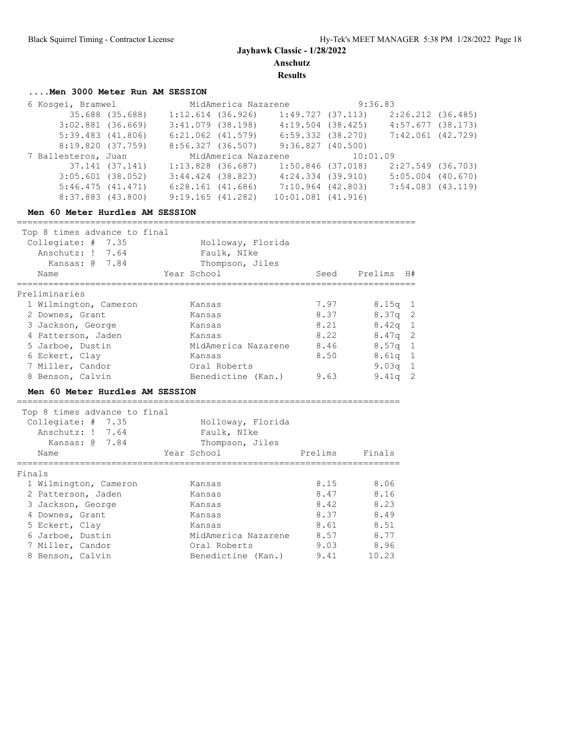**Results**

## **....Men 3000 Meter Run AM SESSION**

| 6 Kosqei, Bramwel<br>35.688 (35.688)<br>$3:02.881$ (36.669)<br>$5:39.483$ $(41.806)$<br>8:19.820 (37.759)<br>7 Ballesteros, Juan<br>37.141 (37.141)<br>$3:05.601$ (38.052)<br>5:46.475(41.471) | $1:12.614$ (36.926)<br>$3:41.079$ (38.198)<br>$6:21.062$ $(41.579)$<br>8:56.327 (36.507)<br>$3:44.424$ (38.823)<br>6:28.161(41.686) | MidAmerica Nazarene<br>1:13.828 (36.687) | 1:49.727(37.113)<br>6:59.332 (38.270)<br>9:36.827(40.500)<br>1:50.846 (37.018)<br>4:24.334 (39.910)<br>7:10.964 (42.803) | MidAmerica Nazarene 9:36.83<br>2:26.212 (36.485)<br>4:19.504 (38.425)<br>4:57.677 (38.173)<br>7:42.061 (42.729)<br>10:01.09<br>2:27.549 (36.703)<br>$5:05.004$ (40.670)<br>7:54.083 (43.119) |
|------------------------------------------------------------------------------------------------------------------------------------------------------------------------------------------------|-------------------------------------------------------------------------------------------------------------------------------------|------------------------------------------|--------------------------------------------------------------------------------------------------------------------------|----------------------------------------------------------------------------------------------------------------------------------------------------------------------------------------------|

#### **Men 60 Meter Hurdles AM SESSION**

============================================================================

| Top 8 times advance to final<br>Collegiate: $# 7.35$<br>Anschutz: ! 7.64<br>Kansas: @ 7.84<br>Name | Holloway, Florida<br>Faulk, NIke<br>Thompson, Jiles<br>Year School | Seed | H#<br>Prelims           |
|----------------------------------------------------------------------------------------------------|--------------------------------------------------------------------|------|-------------------------|
| Preliminaries                                                                                      |                                                                    |      |                         |
| 1 Wilmington, Cameron                                                                              | Kansas                                                             | 7.97 | $8.15q$ 1               |
| 2 Downes, Grant                                                                                    | Kansas                                                             | 8.37 | $8.37q$ 2               |
| 3 Jackson, George                                                                                  | Kansas                                                             | 8.21 | $8.42q$ 1               |
| 4 Patterson, Jaden                                                                                 | Kansas                                                             | 8.22 | $8.47q$ 2               |
| 5 Jarboe, Dustin                                                                                   | MidAmerica Nazarene                                                | 8.46 | $8.57q$ 1               |
| 6 Eckert, Clay<br>7 Miller, Candor                                                                 | Kansas<br>Oral Roberts                                             | 8.50 | $8.61q$ 1<br>9.03 $q$ 1 |
| 8 Benson, Calvin                                                                                   | Benedictine (Kan.)                                                 | 9.63 | $\overline{2}$<br>9.41q |
|                                                                                                    |                                                                    |      |                         |

#### **Men 60 Meter Hurdles AM SESSION**

| Top 8 times advance to final |                                           |                     |         |        |  |  |  |  |
|------------------------------|-------------------------------------------|---------------------|---------|--------|--|--|--|--|
|                              | Collegiate: $# 7.35$<br>Holloway, Florida |                     |         |        |  |  |  |  |
|                              | Anschutz: ! 7.64                          | Faulk, NIke         |         |        |  |  |  |  |
|                              | Kansas: @ 7.84                            | Thompson, Jiles     |         |        |  |  |  |  |
|                              | Name                                      | Year School         | Prelims | Finals |  |  |  |  |
|                              |                                           |                     |         |        |  |  |  |  |
| Finals                       |                                           |                     |         |        |  |  |  |  |
|                              | 1 Wilmington, Cameron                     | Kansas              | 8.15    | 8.06   |  |  |  |  |
|                              | 2 Patterson, Jaden                        | Kansas              | 8.47    | 8.16   |  |  |  |  |
|                              | 3 Jackson, George                         | Kansas              | 8.42    | 8.23   |  |  |  |  |
|                              | 4 Downes, Grant                           | Kansas              | 8.37    | 8.49   |  |  |  |  |
|                              | 5 Eckert, Clay                            | Kansas              | 8.61    | 8.51   |  |  |  |  |
|                              | 6 Jarboe, Dustin                          | MidAmerica Nazarene | 8.57    | 8.77   |  |  |  |  |
|                              | 7 Miller, Candor                          | Oral Roberts        | 9.03    | 8.96   |  |  |  |  |
|                              | 8 Benson, Calvin                          | Benedictine (Kan.)  | 9.41    | 10.23  |  |  |  |  |

=========================================================================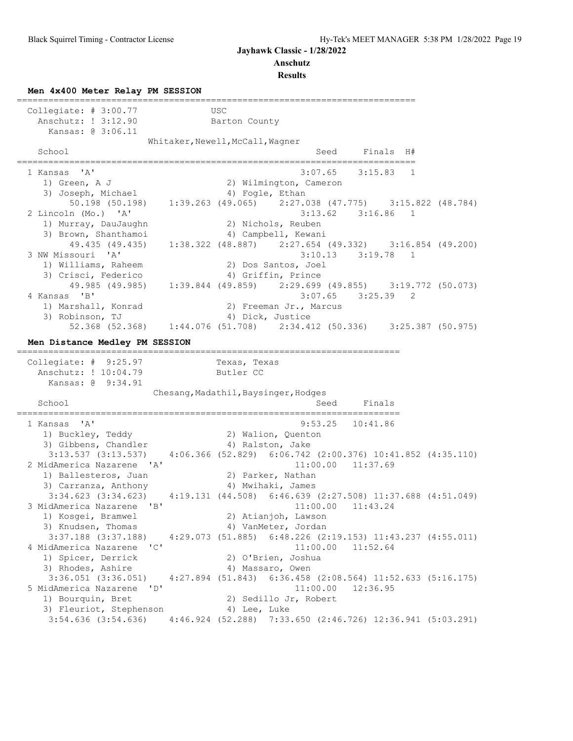**Anschutz**

**Results**

**Men 4x400 Meter Relay PM SESSION**

============================================================================ Collegiate: # 3:00.77 USC Anschutz: ! 3:12.90 Barton County Kansas: @ 3:06.11 Whitaker,Newell,McCall,Wagner School Seed Finals H# ============================================================================ 1 Kansas 'A' 3:07.65 3:15.83 1 1) Green, A J 2) Wilmington, Cameron 3) Joseph, Michael (4) Fogle, Ethan 50.198 (50.198) 1:39.263 (49.065) 2:27.038 (47.775) 3:15.822 (48.784) 2 Lincoln (Mo.) 'A' 3:13.62 3:16.86 1 1) Murray, DauJaughn 2) Nichols, Reuben 3) Brown, Shanthamoi (4) 4) Campbell, Kewani 49.435 (49.435) 1:38.322 (48.887) 2:27.654 (49.332) 3:16.854 (49.200) 3 NW Missouri 'A' 3:10.13 3:19.78 1 1) Williams, Raheem 2) Dos Santos, Joel 3) Crisci, Federico (4) Griffin, Prince 49.985 (49.985) 1:39.844 (49.859) 2:29.699 (49.855) 3:19.772 (50.073)<br>4 Kansas 'B' 3:07.65 3:25.39 2 4 Kansas 'B' 3:07.65 3:25.39 2 1) Marshall, Konrad 2) Freeman Jr., Marcus 3) Robinson, TJ (4) Dick, Justice 52.368 (52.368) 1:44.076 (51.708) 2:34.412 (50.336) 3:25.387 (50.975) **Men Distance Medley PM SESSION** ========================================================================= Collegiate: # 9:25.97 Texas, Texas Anschutz: ! 10:04.79 Butler CC Kansas: @ 9:34.91 Chesang, Madathil, Baysinger, Hodqes School Seed Finals ========================================================================= 1 Kansas 'A' 9:53.25 10:41.86 1) Buckley, Teddy 2) Walion, Quenton 3) Gibbens, Chandler (4) Ralston, Jake 3:13.537 (3:13.537) 4:06.366 (52.829) 6:06.742 (2:00.376) 10:41.852 (4:35.110) 2 MidAmerica Nazarene 'A' 11:00.00 11:37.69 1) Ballesteros, Juan 2) Parker, Nathan 3) Carranza, Anthony (4) Mwihaki, James 3:34.623 (3:34.623) 4:19.131 (44.508) 6:46.639 (2:27.508) 11:37.688 (4:51.049) 3 MidAmerica Nazarene 'B' 11:00.00 11:43.24 1) Kosgei, Bramwel 2) Atianjoh, Lawson 3) Knudsen, Thomas (4) VanMeter, Jordan 3:37.188 (3:37.188) 4:29.073 (51.885) 6:48.226 (2:19.153) 11:43.237 (4:55.011)<br>4 MidAmerica Nazarene 'C' 11:00.00 11:52.64 4 MidAmerica Nazarene 'C' 11:00.00 11:52.64 1) Spicer, Derrick 2) O'Brien, Joshua 3) Rhodes, Ashire 4) Massaro, Owen 3:36.051 (3:36.051) 4:27.894 (51.843) 6:36.458 (2:08.564) 11:52.633 (5:16.175) 5 MidAmerica Nazarene 'D' 11:00.00 12:36.95 1) Bourquin, Bret 2) Sedillo Jr, Robert 3) Fleuriot, Stephenson (4) Lee, Luke 3:54.636 (3:54.636) 4:46.924 (52.288) 7:33.650 (2:46.726) 12:36.941 (5:03.291)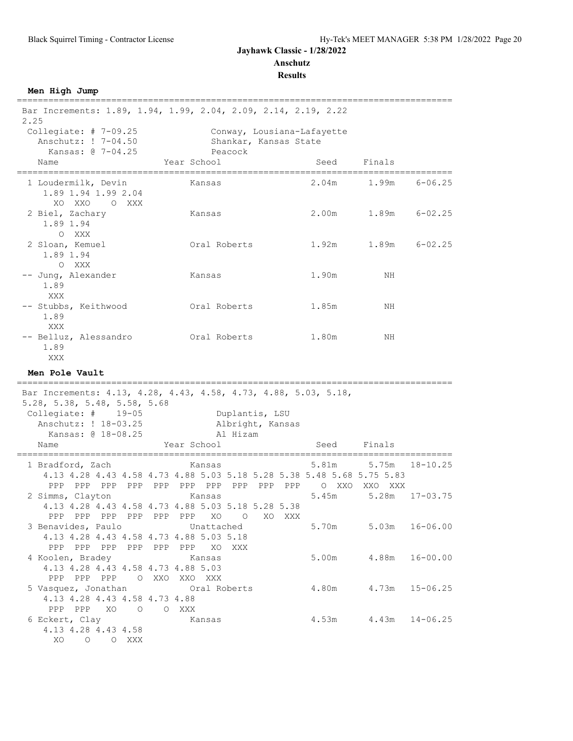**Results**

| Men High Jump                                                                       |                                                                                                                   |                 |                                       |              |
|-------------------------------------------------------------------------------------|-------------------------------------------------------------------------------------------------------------------|-----------------|---------------------------------------|--------------|
| 2.25                                                                                | Bar Increments: 1.89, 1.94, 1.99, 2.04, 2.09, 2.14, 2.19, 2.22                                                    |                 |                                       |              |
| Collegiate: $# 7-09.25$<br>Anschutz: ! 7-04.50<br>Kansas: @ 7-04.25                 | Conway, Lousiana-Lafayette<br>Shankar, Kansas State<br>Peacock                                                    |                 |                                       |              |
| Name                                                                                | Year School                                                                                                       | Seed            | Finals                                |              |
| 1 Loudermilk, Devin<br>1.89 1.94 1.99 2.04<br>XO XXO<br>O XXX                       | Kansas                                                                                                            | 2.04m           | 1.99m                                 | $6 - 06.25$  |
| 2 Biel, Zachary<br>1.89 1.94<br>O XXX                                               | Kansas                                                                                                            |                 | 2.00m 1.89m 6-02.25                   |              |
| 2 Sloan, Kemuel<br>1.89 1.94<br>O XXX                                               | Oral Roberts                                                                                                      | 1.92m           | 1.89m                                 | $6 - 02.25$  |
| -- Jung, Alexander<br>1.89<br>XXX                                                   | Kansas                                                                                                            | 1.90m           | ΝH                                    |              |
| -- Stubbs, Keithwood<br>1.89<br>XXX                                                 | Oral Roberts                                                                                                      | 1.85m           | NH                                    |              |
| -- Belluz, Alessandro<br>1.89<br>XXX                                                | Oral Roberts                                                                                                      | 1.80m           | ΝH                                    |              |
| Men Pole Vault                                                                      |                                                                                                                   |                 |                                       |              |
| 5.28, 5.38, 5.48, 5.58, 5.68                                                        | Bar Increments: 4.13, 4.28, 4.43, 4.58, 4.73, 4.88, 5.03, 5.18,                                                   |                 |                                       |              |
| Collegiate: $\#$ 19-05<br>Anschutz: ! 18-03.25                                      | Duplantis, LSU<br>Albright, Kansas                                                                                |                 |                                       |              |
| Kansas: @ 18-08.25<br>Name                                                          | Al Hizam<br>Year School                                                                                           | Seed            | Finals                                |              |
| 1 Bradford, Zach                                                                    | ============<br><b>Example 18</b> Kansas<br>4.13 4.28 4.43 4.58 4.73 4.88 5.03 5.18 5.28 5.38 5.48 5.68 5.75 5.83 | --------------- | 5.81m 5.75m 18-10.25<br>O XXO XXO XXX |              |
| 2 Simms, Clayton                                                                    | Kansas<br>4.13 4.28 4.43 4.58 4.73 4.88 5.03 5.18 5.28 5.38<br>PPP PPP PPP PPP PPP PPP XO O<br>XO XXX             | 5.45m           | 5.28m                                 | $17 - 03.75$ |
| 3 Benavides, Paulo                                                                  | Unattached<br>4.13 4.28 4.43 4.58 4.73 4.88 5.03 5.18<br>PPP PPP PPP PPP PPP PPP XO XXX                           |                 | 5.70m 5.03m 16-06.00                  |              |
| 4 Koolen, Bradey<br>4.13 4.28 4.43 4.58 4.73 4.88 5.03<br>PPP PPP PPP O XXO XXO XXX | <b>Example 28</b> Kansas                                                                                          |                 | 5.00m 4.88m                           | $16 - 00.00$ |
| 4.13 4.28 4.43 4.58 4.73 4.88<br>PPP PPP XO O O XXX                                 | 5 Vasquez, Jonathan 6 Cral Roberts 4.80m 4.73m 15-06.25                                                           |                 |                                       |              |
| 6 Eckert, Clay<br>4.13 4.28 4.43 4.58<br>XO O O XXX                                 | Kansas                                                                                                            |                 | $4.53m$ $4.43m$                       | $14 - 06.25$ |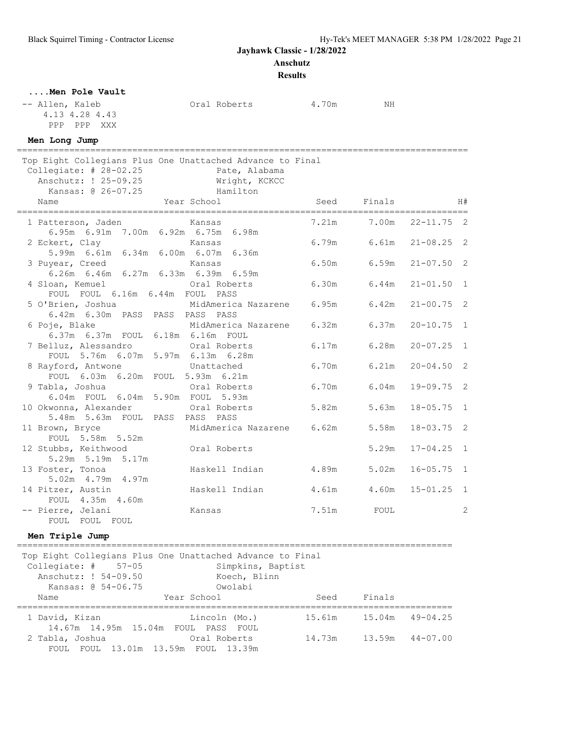**Anschutz**

**Results**

### **....Men Pole Vault**

-- Allen, Kaleb  $Oral$  Roberts  $4.70m$  NH 4.13 4.28 4.43 PPP PPP XXX

### **Men Long Jump**

| =====================================<br>Top Eight Collegians Plus One Unattached Advance to Final<br>Collegiate: $\#$ 28-02.25<br>Pate, Alabama<br>Anschutz: ! 25-09.25 Wright, KCKCC<br>Hamilton<br>Kansas: @ 26-07.25 |                                                                                                                                                                   |                                            |                              |                              |                      |              |
|--------------------------------------------------------------------------------------------------------------------------------------------------------------------------------------------------------------------------|-------------------------------------------------------------------------------------------------------------------------------------------------------------------|--------------------------------------------|------------------------------|------------------------------|----------------------|--------------|
|                                                                                                                                                                                                                          | Name                                                                                                                                                              | Year School                                |                              | Seed Finals                  |                      | H#           |
|                                                                                                                                                                                                                          | 1 Patterson, Jaden<br>kansas Kansas (Kansas Kansas Kansas Kansas Kansas Kansas Kansas Kansas Kansas Kansas Kansas Kansas K<br>6.95m 6.91m 7.00m 6.92m 6.75m 6.98m |                                            |                              | 7.21m 7.00m 22-11.75 2       |                      |              |
|                                                                                                                                                                                                                          | 2 Eckert, Clay<br>5.99m 6.61m 6.34m 6.00m 6.07m 6.36m                                                                                                             | Kansas                                     |                              | $6.79m$ $6.61m$ $21-08.25$ 2 |                      |              |
|                                                                                                                                                                                                                          | 3 Puyear, Creed<br>6.26m 6.46m 6.27m 6.33m 6.39m 6.59m                                                                                                            | Kansas                                     |                              | 6.50m 6.59m 21-07.50 2       |                      |              |
|                                                                                                                                                                                                                          | 4 Sloan, Kemuel<br>FOUL FOUL 6.16m 6.44m FOUL PASS                                                                                                                | Oral Roberts                               | $6.30m$ $6.44m$ $21-01.50$ 1 |                              |                      |              |
|                                                                                                                                                                                                                          | 5 O'Brien, Joshua<br>6.42m 6.30m PASS PASS PASS PASS                                                                                                              | MidAmerica Nazarene 6.95m 6.42m 21-00.75 2 |                              |                              |                      |              |
|                                                                                                                                                                                                                          | 6 Poje, Blake<br>6.37m 6.37m FOUL 6.18m 6.16m FOUL                                                                                                                | MidAmerica Nazarene 6.32m                  |                              |                              | $6.37m$ $20-10.75$ 1 |              |
|                                                                                                                                                                                                                          | 7 Belluz, Alessandro<br>FOUL 5.76m 6.07m 5.97m 6.13m 6.28m                                                                                                        | Oral Roberts                               | 6.17m                        | 6.28m                        | $20 - 07.25$ 1       |              |
|                                                                                                                                                                                                                          | 8 Rayford, Antwone<br>FOUL 6.03m 6.20m FOUL 5.93m 6.21m                                                                                                           | Unattached                                 | 6.70m                        |                              | $6.21m$ $20-04.50$ 2 |              |
|                                                                                                                                                                                                                          | 9 Tabla, Joshua<br>Oral Roberts<br>6.04m FOUL 6.04m 5.90m FOUL 5.93m                                                                                              |                                            | 6.70m                        | 6.04m                        | $19 - 09.75$ 2       |              |
|                                                                                                                                                                                                                          | 10 Okwonna, Alexander Cral Roberts<br>5.48m 5.63m FOUL PASS PASS PASS                                                                                             |                                            | 5.82m                        | 5.63m                        | $18 - 05.75$ 1       |              |
|                                                                                                                                                                                                                          | 11 Brown, Bryce<br>FOUL 5.58m 5.52m                                                                                                                               | MidAmerica Nazarene 6.62m                  |                              | 5.58m                        | $18 - 03.75$ 2       |              |
|                                                                                                                                                                                                                          | 12 Stubbs, Keithwood Oral Roberts<br>5.29m 5.19m 5.17m                                                                                                            |                                            |                              | 5.29m                        | $17 - 04.25$ 1       |              |
|                                                                                                                                                                                                                          | 13 Foster, Tonoa<br>5.02m 4.79m 4.97m                                                                                                                             | Haskell Indian                             | 4.89m                        | 5.02m                        | $16 - 05.75$ 1       |              |
|                                                                                                                                                                                                                          | 14 Pitzer, Austin<br>FOUL 4.35m 4.60m                                                                                                                             | Haskell Indian                             | 4.61m                        |                              | $4.60m$ $15-01.25$ 1 |              |
|                                                                                                                                                                                                                          | -- Pierre, Jelani<br>FOUL<br>FOUL FOUL                                                                                                                            | Kansas                                     | 7.51m                        | FOUL                         |                      | $\mathbf{2}$ |

#### **Men Triple Jump**

=================================================================================== Top Eight Collegians Plus One Unattached Advance to Final Collegiate: # 57-05 Simpkins, Baptist Anschutz: ! 54-09.50 Koech, Blinn Kansas: @ 54-06.75 Owolabi Name Year School Seed Finals =================================================================================== 1 David, Kizan Lincoln (Mo.) 15.61m 15.04m 49-04.25 14.67m 14.95m 15.04m FOUL PASS FOUL 2 Tabla, Joshua Oral Roberts 14.73m 13.59m 44-07.00 FOUL FOUL 13.01m 13.59m FOUL 13.39m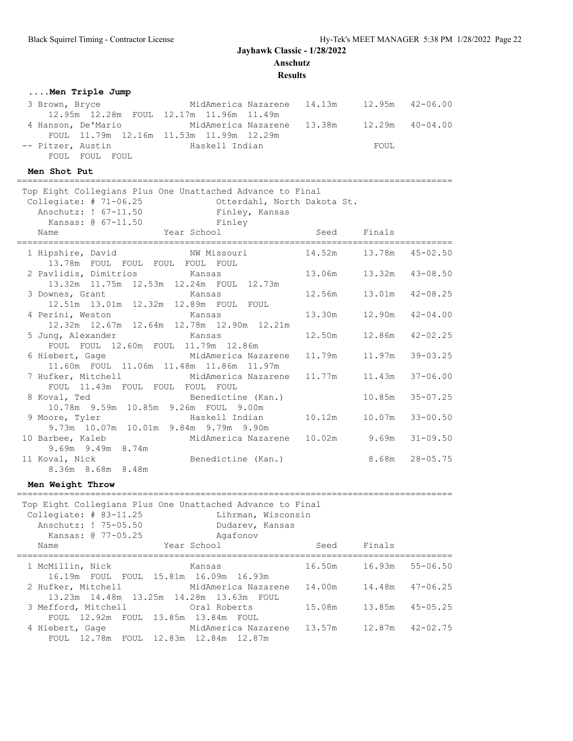**Results**

| Men Triple Jump                                                                                                                                                                                |        |                            |              |
|------------------------------------------------------------------------------------------------------------------------------------------------------------------------------------------------|--------|----------------------------|--------------|
| MidAmerica Nazarene 14.13m 12.95m 42-06.00<br>3 Brown, Bryce<br>12.95m  12.28m  FOUL  12.17m  11.96m  11.49m                                                                                   |        |                            |              |
| 4 Hanson, De'Mario<br>MidAmerica Nazarene 13.38m 12.29m 40-04.00                                                                                                                               |        |                            |              |
| FOUL 11.79m 12.16m 11.53m 11.99m 12.29m<br>-- Pitzer, Austin<br>Haskell Indian                                                                                                                 |        | FOUL                       |              |
| FOUL FOUL FOUL                                                                                                                                                                                 |        |                            |              |
| Men Shot Put                                                                                                                                                                                   |        |                            |              |
| Top Eight Collegians Plus One Unattached Advance to Final<br>Collegiate: $# 71-06.25$<br>Otterdahl, North Dakota St.<br>Finley, Kansas<br>Anschutz: ! 67-11.50<br>Kansas: @ 67-11.50<br>Finley |        |                            |              |
| Year School<br>Name                                                                                                                                                                            | Seed   | Finals                     |              |
| NW Missouri<br>1 Hipshire, David<br>13.78m FOUL FOUL FOUL FOUL FOUL                                                                                                                            |        | 14.52m   13.78m   45-02.50 |              |
| 2 Pavlidis, Dimitrios<br>Kansas<br>13.32m  11.75m  12.53m  12.24m  FOUL  12.73m                                                                                                                |        | 13.06m  13.32m  43-08.50   |              |
| 3 Downes, Grant<br>Kansas<br>12.51m  13.01m  12.32m  12.89m  FOUL  FOUL                                                                                                                        | 12.56m | 13.01m                     | $42 - 08.25$ |
| 4 Perini, Weston<br>Kansas<br>12.32m 12.67m 12.64m 12.78m 12.90m 12.21m                                                                                                                        | 13.30m | 12.90m                     | $42 - 04.00$ |
| 5 Jung, Alexander Kansas<br>FOUL FOUL 12.60m FOUL 11.79m 12.86m                                                                                                                                | 12.50m | 12.86m                     | $42 - 02.25$ |
| 6 Hiebert, Gage<br>MidAmerica Nazarene<br>11.60m FOUL 11.06m 11.48m 11.86m 11.97m                                                                                                              | 11.79m | 11.97m                     | $39 - 03.25$ |
| MidAmerica Nazarene 11.77m<br>7 Hufker, Mitchell<br>FOUL 11.43m FOUL FOUL FOUL FOUL                                                                                                            |        | 11.43m                     | $37 - 06.00$ |
| 8 Koval, Ted<br>Benedictine (Kan.)<br>10.78m 9.59m 10.85m 9.26m FOUL 9.00m                                                                                                                     |        | 10.85m                     | $35 - 07.25$ |
| 9 Moore, Tyler<br>Haskell Indian 10.12m<br>9.73m 10.07m 10.01m 9.84m 9.79m 9.90m                                                                                                               |        | 10.07m                     | $33 - 00.50$ |
| 10 Barbee, Kaleb<br>MidAmerica Nazarene 10.02m 9.69m<br>9.69m 9.49m 8.74m                                                                                                                      |        |                            | $31 - 09.50$ |
| Benedictine (Kan.)<br>11 Koval, Nick<br>8.36m 8.68m 8.48m                                                                                                                                      |        | 8.68m                      | $28 - 05.75$ |
| Men Weight Throw                                                                                                                                                                               |        |                            |              |
| Top Eight Collegians Plus One Unattached Advance to Final<br>Collegiate: $# 83-11.25$<br>Lihrman, Wisconsin<br>Anschutz: ! 75-05.50<br>Dudarev, Kansas<br>Kansas: @ 77-05.25<br>Agafonov       |        |                            |              |
| Year School<br>Name                                                                                                                                                                            | Seed   | Finals                     |              |
| 1 McMillin, Nick<br>Kansas                                                                                                                                                                     | 16.50m | 16.93m                     | $55 - 06.50$ |
| 16.19m FOUL FOUL<br>15.81m  16.09m<br>16.93m<br>2 Hufker, Mitchell<br>MidAmerica Nazarene                                                                                                      | 14.00m | 14.48m                     | $47 - 06.25$ |
| 13.23m  14.48m  13.25m<br>14.28m  13.63m  FOUL<br>3 Mefford, Mitchell<br>Oral Roberts                                                                                                          | 15.08m | 13.85m                     | $45 - 05.25$ |
| FOUL 12.92m FOUL 13.85m 13.84m FOUL<br>MidAmerica Nazarene<br>4 Hiebert, Gage<br>FOUL 12.78m FOUL 12.83m 12.84m 12.87m                                                                         | 13.57m | 12.87m                     | $42 - 02.75$ |